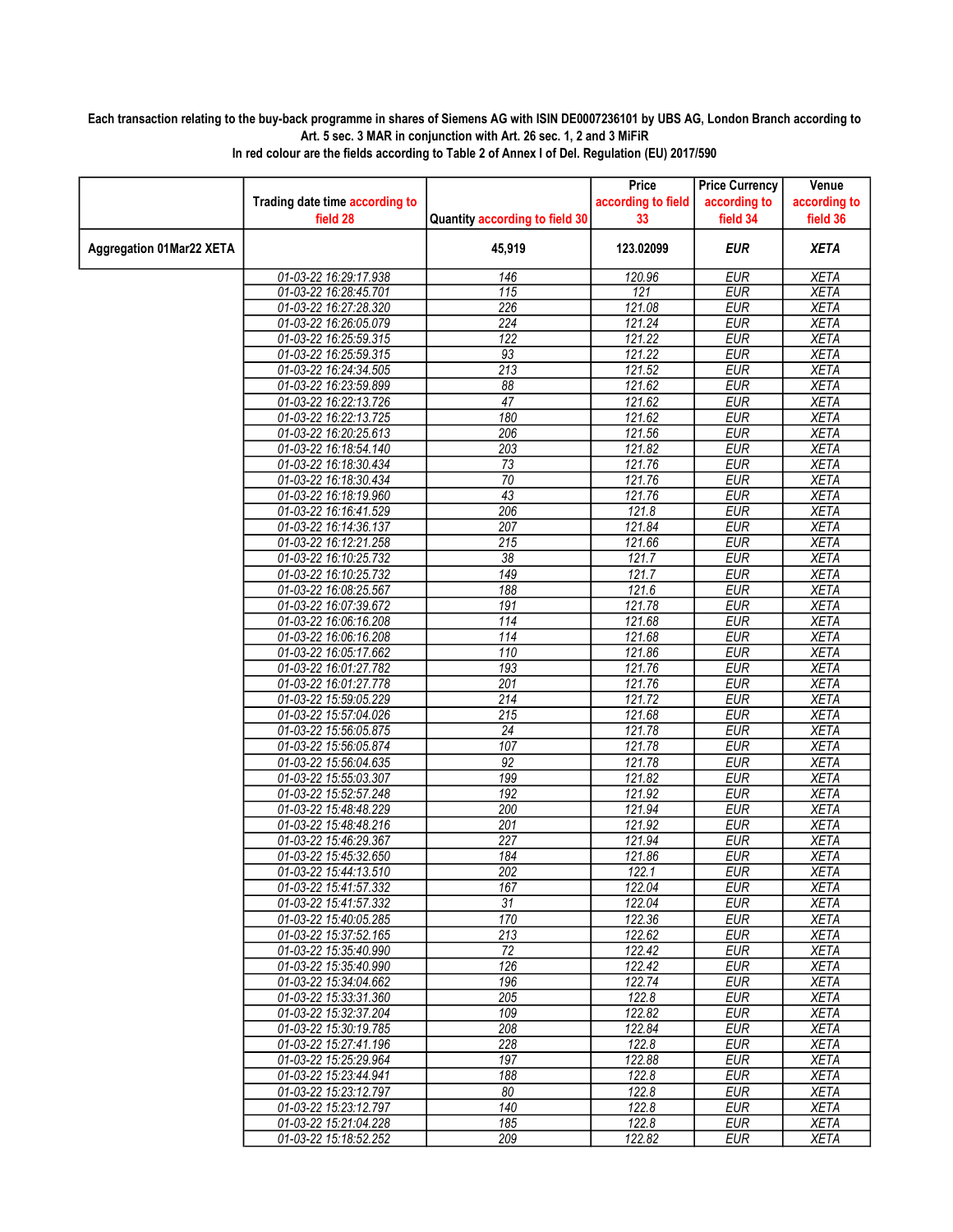## Each transaction relating to the buy-back programme in shares of Siemens AG with ISIN DE0007236101 by UBS AG, London Branch according to Art. 5 sec. 3 MAR in conjunction with Art. 26 sec. 1, 2 and 3 MiFiR

|                                 |                                                |                                | Price              | <b>Price Currency</b>    | Venue                      |
|---------------------------------|------------------------------------------------|--------------------------------|--------------------|--------------------------|----------------------------|
|                                 | Trading date time according to                 |                                | according to field | according to             | according to               |
|                                 | field 28                                       | Quantity according to field 30 | 33                 | field 34                 | field 36                   |
| <b>Aggregation 01Mar22 XETA</b> |                                                | 45,919                         | 123.02099          | <b>EUR</b>               | <b>XETA</b>                |
|                                 | 01-03-22 16:29:17.938                          | 146                            | 120.96             | <b>EUR</b>               | <b>XETA</b>                |
|                                 | 01-03-22 16:28:45.701                          | $\overline{115}$               | 121                | <b>EUR</b>               | <b>XETA</b>                |
|                                 | 01-03-22 16:27:28.320                          | 226                            | 121.08             | <b>EUR</b>               | <b>XETA</b>                |
|                                 | 01-03-22 16:26:05.079                          | 224                            | 121.24             | <b>EUR</b>               | <b>XETA</b>                |
|                                 | 01-03-22 16:25:59.315                          | $\overline{122}$               | 121.22             | <b>EUR</b>               | <b>XETA</b>                |
|                                 | 01-03-22 16:25:59.315                          | 93                             | 121.22             | <b>EUR</b>               | <b>XETA</b>                |
|                                 | 01-03-22 16:24:34.505                          | $\overline{213}$               | 121.52             | <b>EUR</b>               | <b>XETA</b>                |
|                                 | 01-03-22 16:23:59.899                          | $\overline{88}$                | 121.62             | <b>EUR</b>               | <b>XETA</b>                |
|                                 | 01-03-22 16:22:13.726                          | $\overline{47}$                | 121.62             | <b>EUR</b>               | <b>XETA</b>                |
|                                 | 01-03-22 16:22:13.725                          | 180                            | 121.62             | <b>EUR</b>               | <b>XETA</b>                |
|                                 | 01-03-22 16:20:25.613                          | 206                            | 121.56             | <b>EUR</b>               | <b>XETA</b>                |
|                                 | 01-03-22 16:18:54.140                          | 203                            | 121.82             | <b>EUR</b>               | <b>XETA</b>                |
|                                 | 01-03-22 16:18:30.434                          | 73<br>70                       | 121.76             | <b>EUR</b><br><b>EUR</b> | <b>XETA</b><br><b>XETA</b> |
|                                 | 01-03-22 16:18:30.434<br>01-03-22 16:18:19.960 | 43                             | 121.76<br>121.76   | <b>EUR</b>               | <b>XETA</b>                |
|                                 |                                                | 206                            | 121.8              | <b>EUR</b>               | <b>XETA</b>                |
|                                 | 01-03-22 16:16:41.529<br>01-03-22 16:14:36.137 | $\overline{207}$               | 121.84             | <b>EUR</b>               | <b>XETA</b>                |
|                                 | 01-03-22 16:12:21.258                          | $\overline{215}$               | 121.66             | <b>EUR</b>               | <b>XETA</b>                |
|                                 | 01-03-22 16:10:25.732                          | $\overline{38}$                | 121.7              | <b>EUR</b>               | <b>XETA</b>                |
|                                 | 01-03-22 16:10:25.732                          | $\overline{149}$               | 121.7              | <b>EUR</b>               | <b>XETA</b>                |
|                                 | 01-03-22 16:08:25.567                          | 188                            | 121.6              | <b>EUR</b>               | <b>XETA</b>                |
|                                 | 01-03-22 16:07:39.672                          | 191                            | 121.78             | <b>EUR</b>               | <b>XETA</b>                |
|                                 | 01-03-22 16:06:16.208                          | $\overline{114}$               | 121.68             | <b>EUR</b>               | <b>XETA</b>                |
|                                 | 01-03-22 16:06:16.208                          | 114                            | 121.68             | <b>EUR</b>               | <b>XETA</b>                |
|                                 | 01-03-22 16:05:17.662                          | 110                            | 121.86             | <b>EUR</b>               | <b>XETA</b>                |
|                                 | 01-03-22 16:01:27.782                          | 193                            | 121.76             | <b>EUR</b>               | <b>XETA</b>                |
|                                 | 01-03-22 16:01:27.778                          | $\overline{201}$               | 121.76             | <b>EUR</b>               | <b>XETA</b>                |
|                                 | 01-03-22 15:59:05.229                          | $\overline{214}$               | 121.72             | <b>EUR</b>               | <b>XETA</b>                |
|                                 | 01-03-22 15:57:04.026                          | 215                            | 121.68             | <b>EUR</b>               | <b>XETA</b>                |
|                                 | 01-03-22 15:56:05.875                          | $\overline{24}$                | 121.78             | <b>EUR</b>               | <b>XETA</b>                |
|                                 | 01-03-22 15:56:05.874                          | 107                            | 121.78             | <b>EUR</b>               | <b>XETA</b>                |
|                                 | 01-03-22 15:56:04.635                          | 92                             | 121.78             | <b>EUR</b>               | <b>XETA</b>                |
|                                 | 01-03-22 15:55:03.307                          | 199                            | 121.82             | <b>EUR</b>               | <b>XETA</b>                |
|                                 | 01-03-22 15:52:57.248                          | 192                            | 121.92             | <b>EUR</b>               | <b>XETA</b>                |
|                                 | 01-03-22 15:48:48.229                          | 200                            | 121.94             | <b>EUR</b>               | XETA                       |
|                                 | 01-03-22 15:48:48.216                          | $\overline{201}$               | 121.92             | <b>EUR</b>               | <b>XETA</b>                |
|                                 | 01-03-22 15:46:29.367                          | 227                            | 121.94             | <b>EUR</b>               | <b>XETA</b>                |
|                                 | 01-03-22 15:45:32.650                          | 184                            | 121.86             | <b>EUR</b>               | <b>XETA</b>                |
|                                 | 01-03-22 15:44:13.510                          | 202                            | 122.1              | <b>EUR</b>               | <b>XETA</b>                |
|                                 | 01-03-22 15:41:57.332                          | 167                            | 122.04             | <b>EUR</b>               | <b>XETA</b>                |
|                                 | 01-03-22 15:41:57.332<br>01-03-22 15:40:05.285 | 31<br>170                      | 122.04<br>122.36   | EUR<br><b>EUR</b>        | XETA<br><b>XETA</b>        |
|                                 | 01-03-22 15:37:52.165                          | $\overline{213}$               | 122.62             | <b>EUR</b>               | <b>XETA</b>                |
|                                 | 01-03-22 15:35:40.990                          | 72                             | 122.42             | <b>EUR</b>               | XETA                       |
|                                 | 01-03-22 15:35:40.990                          | 126                            | 122.42             | <b>EUR</b>               | <b>XETA</b>                |
|                                 | 01-03-22 15:34:04.662                          | 196                            | 122.74             | <b>EUR</b>               | <b>XETA</b>                |
|                                 | 01-03-22 15:33:31.360                          | 205                            | 122.8              | EUR                      | XETA                       |
|                                 | 01-03-22 15:32:37.204                          | 109                            | 122.82             | <b>EUR</b>               | <b>XETA</b>                |
|                                 | 01-03-22 15:30:19.785                          | 208                            | 122.84             | <b>EUR</b>               | <b>XETA</b>                |
|                                 | 01-03-22 15:27:41.196                          | 228                            | 122.8              | <b>EUR</b>               | <b>XETA</b>                |
|                                 | 01-03-22 15:25:29.964                          | 197                            | 122.88             | <b>EUR</b>               | <b>XETA</b>                |
|                                 | 01-03-22 15:23:44.941                          | 188                            | 122.8              | <b>EUR</b>               | <b>XETA</b>                |
|                                 | 01-03-22 15:23:12.797                          | 80                             | 122.8              | <b>EUR</b>               | <b>XETA</b>                |
|                                 | 01-03-22 15:23:12.797                          | 140                            | 122.8              | <b>EUR</b>               | <b>XETA</b>                |
|                                 | 01-03-22 15:21:04.228                          | 185                            | 122.8              | <b>EUR</b>               | XETA                       |
|                                 | 01-03-22 15:18:52.252                          | 209                            | 122.82             | <b>EUR</b>               | <b>XETA</b>                |

In red colour are the fields according to Table 2 of Annex I of Del. Regulation (EU) 2017/590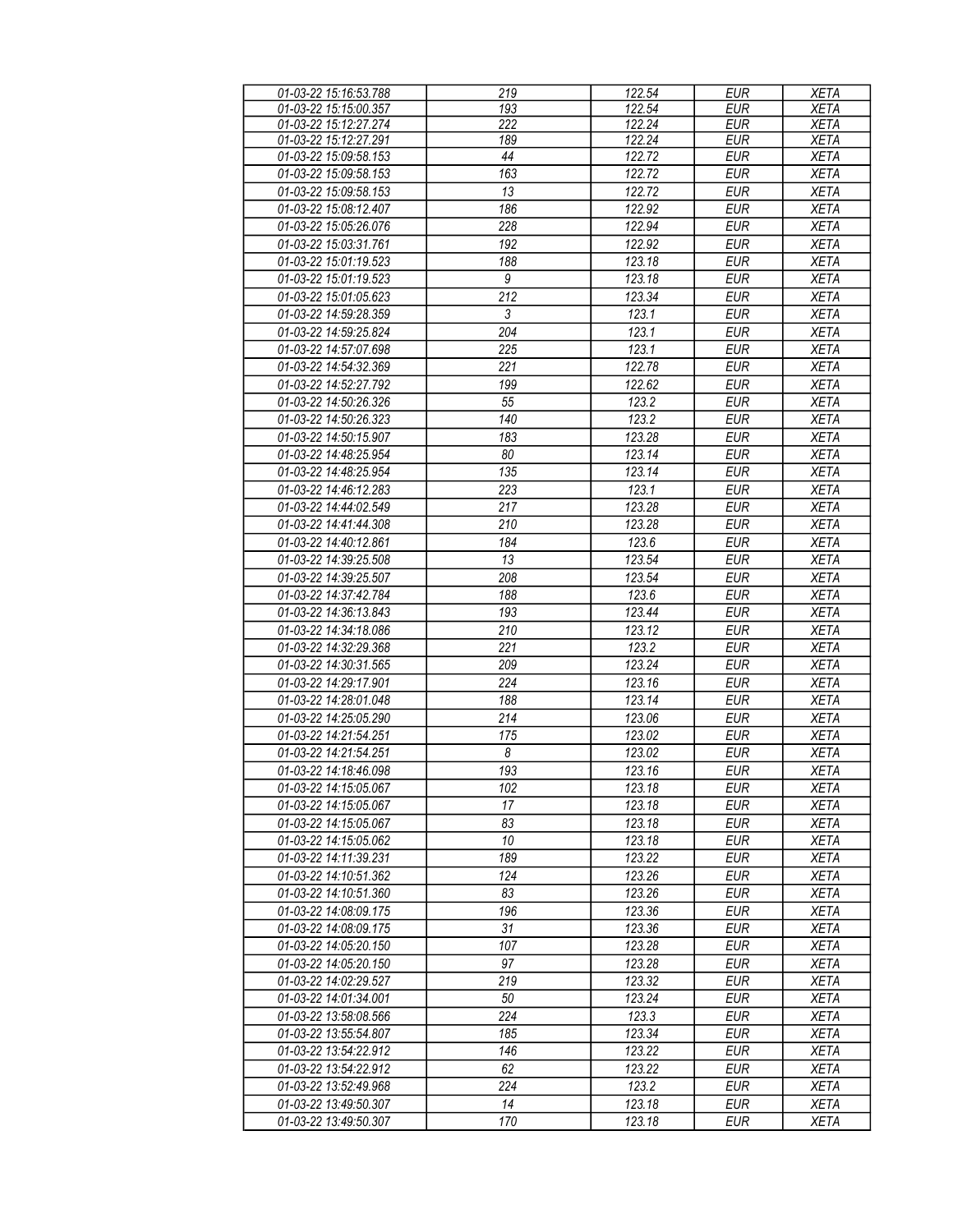| 01-03-22 15:16:53.788 | 219              | 122.54           | <b>EUR</b> | <b>XETA</b> |
|-----------------------|------------------|------------------|------------|-------------|
| 01-03-22 15:15:00.357 | 193              | 122.54           | <b>EUR</b> | <b>XETA</b> |
| 01-03-22 15:12:27.274 | 222              | 122.24           | <b>EUR</b> | <b>XETA</b> |
| 01-03-22 15:12:27.291 | 189              | 122.24           | <b>EUR</b> | XETA        |
| 01-03-22 15:09:58.153 | 44               | 122.72           | <b>EUR</b> | <b>XETA</b> |
| 01-03-22 15:09:58.153 | 163              | 122.72           | <b>EUR</b> | <b>XETA</b> |
|                       |                  |                  |            |             |
| 01-03-22 15:09:58.153 | 13               | 122.72           | <b>EUR</b> | <b>XETA</b> |
| 01-03-22 15:08:12.407 | 186              | 122.92           | <b>EUR</b> | <b>XETA</b> |
| 01-03-22 15:05:26.076 | 228              | 122.94           | <b>EUR</b> | <b>XETA</b> |
| 01-03-22 15:03:31.761 | 192              | 122.92           | <b>EUR</b> | <b>XETA</b> |
| 01-03-22 15:01:19.523 | 188              | 123.18           | <b>EUR</b> | <b>XETA</b> |
| 01-03-22 15:01:19.523 | 9                | 123.18           | <b>EUR</b> | <b>XETA</b> |
| 01-03-22 15:01:05.623 | $\overline{212}$ | 123.34           | <b>EUR</b> | <b>XETA</b> |
| 01-03-22 14:59:28.359 | $\overline{3}$   | 123.1            | <b>EUR</b> | <b>XETA</b> |
| 01-03-22 14:59:25.824 | $\overline{204}$ | 123.1            | <b>EUR</b> | <b>XETA</b> |
| 01-03-22 14:57:07.698 | 225              | 123.1            | <b>EUR</b> | <b>XETA</b> |
|                       |                  |                  |            |             |
| 01-03-22 14:54:32.369 | 221              | 122.78           | <b>EUR</b> | <b>XETA</b> |
| 01-03-22 14:52:27.792 | 199              | 122.62           | <b>EUR</b> | <b>XETA</b> |
| 01-03-22 14:50:26.326 | 55               | 123.2            | <b>EUR</b> | <b>XETA</b> |
| 01-03-22 14:50:26.323 | 140              | 123.2            | <b>EUR</b> | <b>XETA</b> |
| 01-03-22 14:50:15.907 | 183              | 123.28           | <b>EUR</b> | <b>XETA</b> |
| 01-03-22 14:48:25.954 | 80               | 123.14           | <b>EUR</b> | <b>XETA</b> |
| 01-03-22 14:48:25.954 | 135              | 123.14           | <b>EUR</b> | <b>XETA</b> |
| 01-03-22 14:46:12.283 | 223              | 123.1            | <b>EUR</b> | <b>XETA</b> |
| 01-03-22 14:44:02.549 | 217              | 123.28           | <b>EUR</b> | <b>XETA</b> |
| 01-03-22 14:41:44.308 | 210              | 123.28           | <b>EUR</b> | <b>XETA</b> |
|                       |                  |                  |            |             |
| 01-03-22 14:40:12.861 | 184              | 123.6            | <b>EUR</b> | <b>XETA</b> |
| 01-03-22 14:39:25.508 | 13               | 123.54           | <b>EUR</b> | <b>XETA</b> |
| 01-03-22 14:39:25.507 | 208              | 123.54           | <b>EUR</b> | <b>XETA</b> |
| 01-03-22 14:37:42.784 | 188              | 123.6            | <b>EUR</b> | <b>XETA</b> |
| 01-03-22 14:36:13.843 | 193              | 123.44           | <b>EUR</b> | <b>XETA</b> |
| 01-03-22 14:34:18.086 | 210              | 123.12           | <b>EUR</b> | <b>XETA</b> |
| 01-03-22 14:32:29.368 | 221              | 123.2            | <b>EUR</b> | <b>XETA</b> |
| 01-03-22 14:30:31.565 | 209              | 123.24           | <b>EUR</b> | <b>XETA</b> |
| 01-03-22 14:29:17.901 | 224              | 123.16           | <b>EUR</b> | <b>XETA</b> |
| 01-03-22 14:28:01.048 | 188              | 123.14           | <b>EUR</b> | <b>XETA</b> |
| 01-03-22 14:25:05.290 | 214              | 123.06           | <b>EUR</b> | <b>XETA</b> |
| 01-03-22 14:21:54.251 | 175              | 123.02           | <b>EUR</b> |             |
|                       |                  |                  |            | <b>XETA</b> |
| 01-03-22 14:21:54.251 | $\boldsymbol{8}$ | 123.02           | EUR        | <b>XETA</b> |
| 01-03-22 14:18:46.098 | 193              | 123.16           | <b>EUR</b> | <b>XETA</b> |
| 01-03-22 14:15:05.067 | 102              | 123.18           | EUR        | <b>XETA</b> |
| 01-03-22 14:15:05.067 | 17               | 123.18           | <b>EUR</b> | <b>XETA</b> |
| 01-03-22 14:15:05.067 | 83               | 123.18           | EUR        | XETA        |
| 01-03-22 14:15:05.062 | 10               | 123.18           | EUR        | <b>XETA</b> |
| 01-03-22 14:11:39.231 | 189              | 123.22           | <b>EUR</b> | <b>XETA</b> |
| 01-03-22 14:10:51.362 | 124              | 123.26           | <b>EUR</b> | <b>XETA</b> |
| 01-03-22 14:10:51.360 | 83               | 123.26           | EUR        | <b>XETA</b> |
| 01-03-22 14:08:09.175 | 196              | 123.36           | <b>EUR</b> | <b>XETA</b> |
| 01-03-22 14:08:09.175 | 31               |                  | <b>EUR</b> | <b>XETA</b> |
| 01-03-22 14:05:20.150 | 107              | 123.36<br>123.28 | <b>EUR</b> | <b>XETA</b> |
|                       |                  |                  |            |             |
| 01-03-22 14:05:20.150 | 97               | 123.28           | EUR        | <b>XETA</b> |
| 01-03-22 14:02:29.527 | 219              | 123.32           | <b>EUR</b> | <b>XETA</b> |
| 01-03-22 14:01:34.001 | 50               | 123.24           | <b>EUR</b> | <b>XETA</b> |
| 01-03-22 13:58:08.566 | 224              | 123.3            | <b>EUR</b> | <b>XETA</b> |
| 01-03-22 13:55:54.807 | 185              | 123.34           | <b>EUR</b> | <b>XETA</b> |
| 01-03-22 13:54:22.912 | 146              | 123.22           | <b>EUR</b> | <b>XETA</b> |
| 01-03-22 13:54:22.912 | 62               | 123.22           | <b>EUR</b> | <b>XETA</b> |
| 01-03-22 13:52:49.968 | 224              | 123.2            | <b>EUR</b> | <b>XETA</b> |
| 01-03-22 13:49:50.307 | 14               | 123.18           | <b>EUR</b> | <b>XETA</b> |
|                       |                  |                  |            |             |
| 01-03-22 13:49:50.307 | 170              | 123.18           | EUR        | <b>XETA</b> |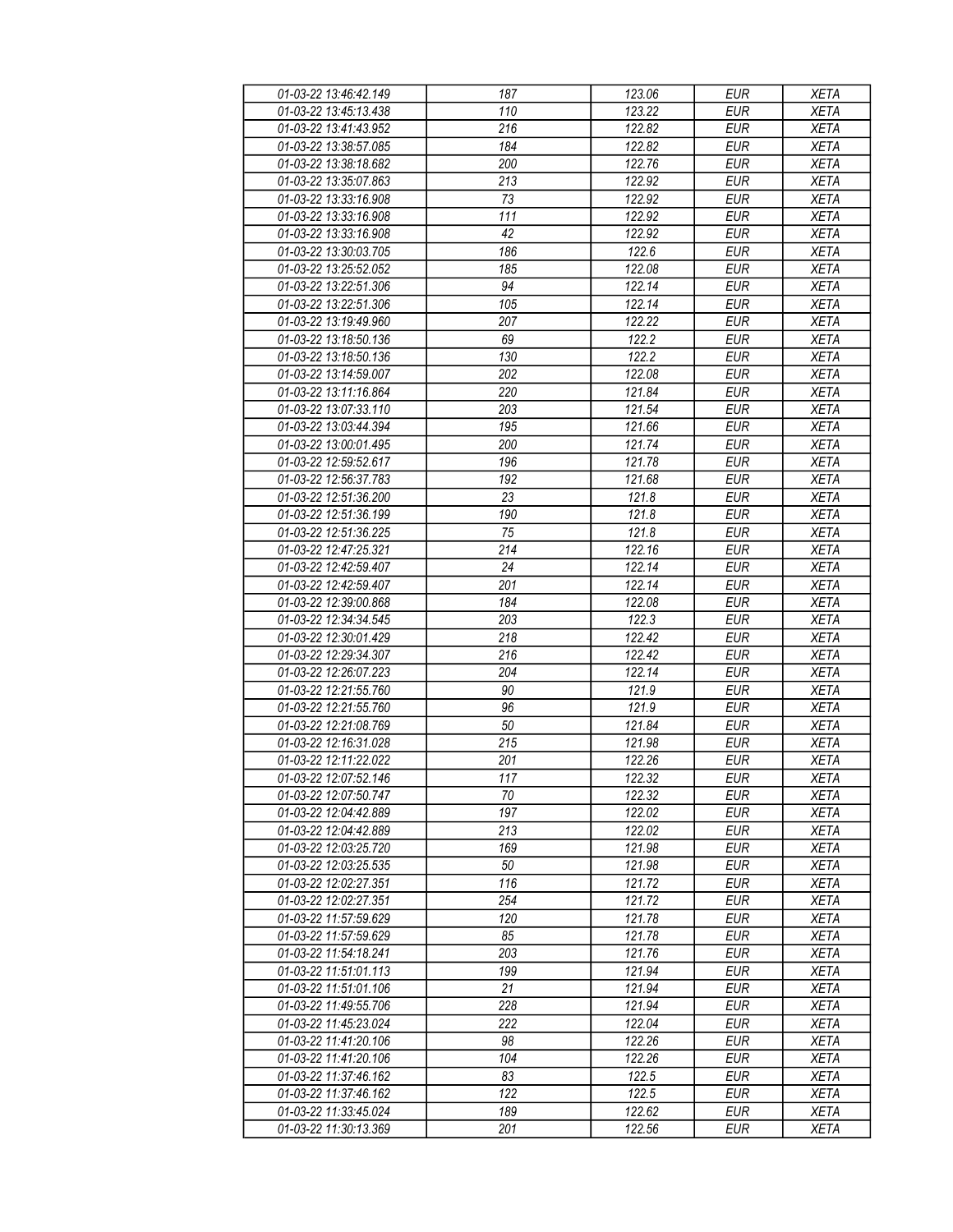| 01-03-22 13:46:42.149 | 187              | 123.06 | <b>EUR</b> | <b>XETA</b> |
|-----------------------|------------------|--------|------------|-------------|
| 01-03-22 13:45:13.438 | 110              | 123.22 | <b>EUR</b> | <b>XETA</b> |
| 01-03-22 13:41:43.952 | $\overline{216}$ | 122.82 | <b>EUR</b> | <b>XETA</b> |
| 01-03-22 13:38:57.085 | 184              | 122.82 | <b>EUR</b> | <b>XETA</b> |
| 01-03-22 13:38:18.682 | 200              | 122.76 | <b>EUR</b> | <b>XETA</b> |
| 01-03-22 13:35:07.863 | 213              | 122.92 | <b>EUR</b> | <b>XETA</b> |
|                       |                  | 122.92 | <b>EUR</b> |             |
| 01-03-22 13:33:16.908 | 73               |        |            | <b>XETA</b> |
| 01-03-22 13:33:16.908 | 111              | 122.92 | <b>EUR</b> | <b>XETA</b> |
| 01-03-22 13:33:16.908 | 42               | 122.92 | <b>EUR</b> | <b>XETA</b> |
| 01-03-22 13:30:03.705 | 186              | 122.6  | <b>EUR</b> | <b>XETA</b> |
| 01-03-22 13:25:52.052 | 185              | 122.08 | <b>EUR</b> | <b>XETA</b> |
| 01-03-22 13:22:51.306 | 94               | 122.14 | <b>EUR</b> | <b>XETA</b> |
| 01-03-22 13:22:51.306 | 105              | 122.14 | <b>EUR</b> | <b>XETA</b> |
| 01-03-22 13:19:49.960 | 207              | 122.22 | <b>EUR</b> | <b>XETA</b> |
| 01-03-22 13:18:50.136 | 69               | 122.2  | <b>EUR</b> | <b>XETA</b> |
| 01-03-22 13:18:50.136 | 130              | 122.2  | <b>EUR</b> | <b>XETA</b> |
| 01-03-22 13:14:59.007 | 202              | 122.08 | <b>EUR</b> | <b>XETA</b> |
| 01-03-22 13:11:16.864 | 220              | 121.84 | <b>EUR</b> | <b>XETA</b> |
| 01-03-22 13:07:33.110 | 203              | 121.54 | <b>EUR</b> | <b>XETA</b> |
| 01-03-22 13:03:44.394 | 195              | 121.66 | <b>EUR</b> | <b>XETA</b> |
| 01-03-22 13:00:01.495 | 200              | 121.74 | <b>EUR</b> | <b>XETA</b> |
| 01-03-22 12:59:52.617 | 196              | 121.78 | <b>EUR</b> | <b>XETA</b> |
| 01-03-22 12:56:37.783 | 192              | 121.68 | <b>EUR</b> | <b>XETA</b> |
| 01-03-22 12:51:36.200 | 23               | 121.8  | <b>EUR</b> | <b>XETA</b> |
| 01-03-22 12:51:36.199 | 190              | 121.8  | <b>EUR</b> | <b>XETA</b> |
|                       |                  |        |            |             |
| 01-03-22 12:51:36.225 | 75               | 121.8  | <b>EUR</b> | <b>XETA</b> |
| 01-03-22 12:47:25.321 | 214              | 122.16 | <b>EUR</b> | <b>XETA</b> |
| 01-03-22 12:42:59.407 | 24               | 122.14 | <b>EUR</b> | <b>XETA</b> |
| 01-03-22 12:42:59.407 | 201              | 122.14 | <b>EUR</b> | <b>XETA</b> |
| 01-03-22 12:39:00.868 | 184              | 122.08 | <b>EUR</b> | <b>XETA</b> |
| 01-03-22 12:34:34.545 | 203              | 122.3  | <b>EUR</b> | <b>XETA</b> |
| 01-03-22 12:30:01.429 | 218              | 122.42 | <b>EUR</b> | <b>XETA</b> |
| 01-03-22 12:29:34.307 | 216              | 122.42 | <b>EUR</b> | <b>XETA</b> |
| 01-03-22 12:26:07.223 | 204              | 122.14 | <b>EUR</b> | <b>XETA</b> |
| 01-03-22 12:21:55.760 | 90               | 121.9  | <b>EUR</b> | <b>XETA</b> |
| 01-03-22 12:21:55.760 | 96               | 121.9  | <b>EUR</b> | <b>XETA</b> |
| 01-03-22 12:21:08.769 | 50               | 121.84 | <b>EUR</b> | <b>XETA</b> |
| 01-03-22 12:16:31.028 | 215              | 121.98 | <b>EUR</b> | <b>XETA</b> |
| 01-03-22 12:11:22.022 | 201              | 122.26 | <b>EUR</b> | <b>XETA</b> |
| 01-03-22 12:07:52.146 | 117              | 122.32 | <b>EUR</b> | <b>XETA</b> |
| 01-03-22 12:07:50.747 | 70               | 122.32 | EUR        | XETA        |
| 01-03-22 12:04:42.889 | 197              | 122.02 | <b>EUR</b> | <b>XETA</b> |
| 01-03-22 12:04:42.889 | 213              | 122.02 | <b>EUR</b> | <b>XETA</b> |
| 01-03-22 12:03:25.720 | 169              | 121.98 | <b>EUR</b> | <b>XETA</b> |
| 01-03-22 12:03:25.535 | 50               | 121.98 | <b>EUR</b> | <b>XETA</b> |
| 01-03-22 12:02:27.351 | 116              | 121.72 | <b>EUR</b> | <b>XETA</b> |
|                       |                  |        |            |             |
| 01-03-22 12:02:27.351 | 254              | 121.72 | <b>EUR</b> | <b>XETA</b> |
| 01-03-22 11:57:59.629 | 120              | 121.78 | <b>EUR</b> | <b>XETA</b> |
| 01-03-22 11:57:59.629 | 85               | 121.78 | <b>EUR</b> | <b>XETA</b> |
| 01-03-22 11:54:18.241 | 203              | 121.76 | EUR        | <b>XETA</b> |
| 01-03-22 11:51:01.113 | 199              | 121.94 | <b>EUR</b> | <b>XETA</b> |
| 01-03-22 11:51:01.106 | 21               | 121.94 | <b>EUR</b> | <b>XETA</b> |
| 01-03-22 11:49:55.706 | 228              | 121.94 | <b>EUR</b> | <b>XETA</b> |
| 01-03-22 11:45:23.024 | 222              | 122.04 | EUR        | <b>XETA</b> |
| 01-03-22 11:41:20.106 | 98               | 122.26 | <b>EUR</b> | <b>XETA</b> |
| 01-03-22 11:41:20.106 | 104              | 122.26 | <b>EUR</b> | <b>XETA</b> |
| 01-03-22 11:37:46.162 | 83               | 122.5  | <b>EUR</b> | <b>XETA</b> |
| 01-03-22 11:37:46.162 | 122              | 122.5  | EUR        | XETA        |
| 01-03-22 11:33:45.024 | 189              | 122.62 | EUR        | <b>XETA</b> |
| 01-03-22 11:30:13.369 | 201              | 122.56 | EUR        | <b>XETA</b> |
|                       |                  |        |            |             |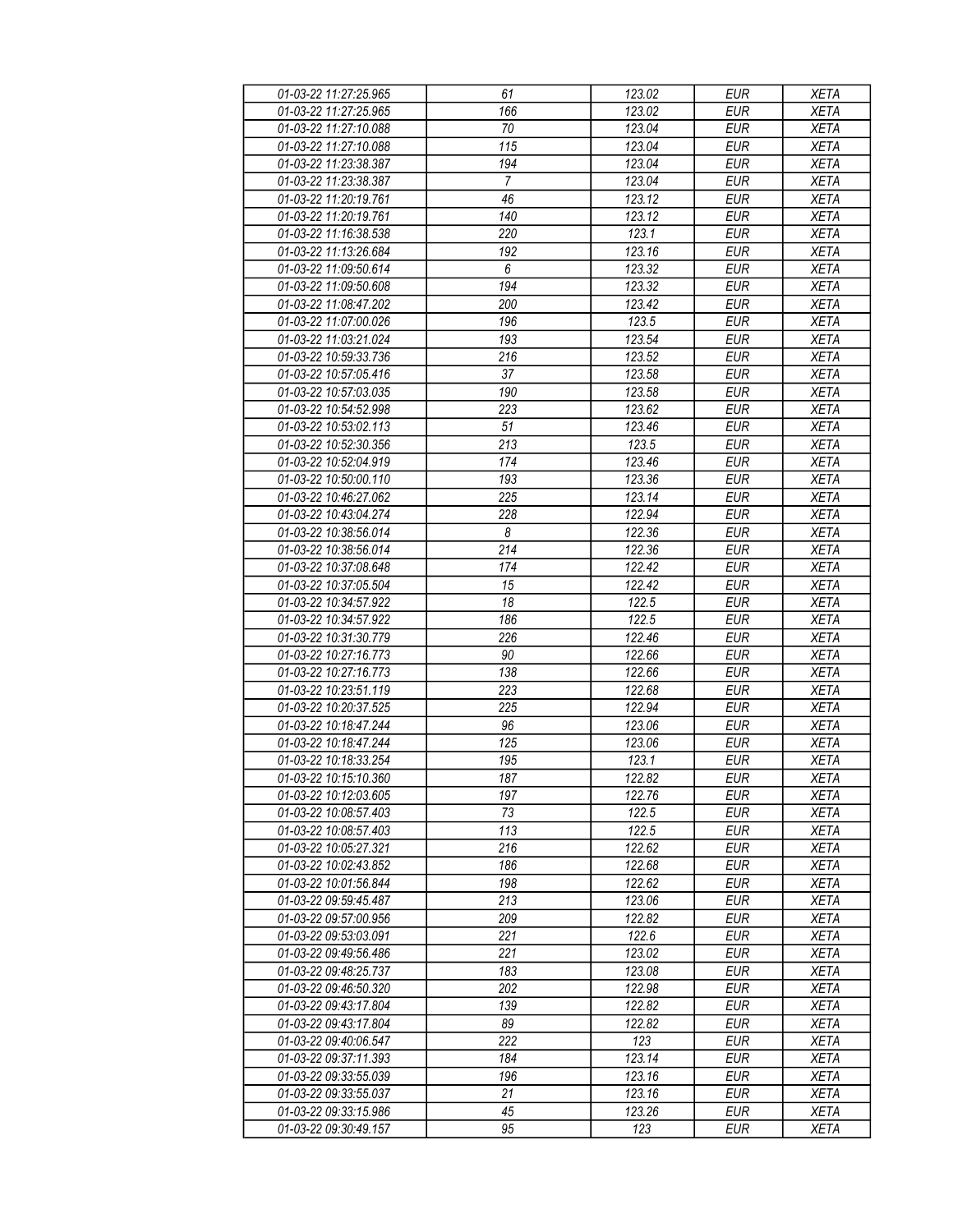| 01-03-22 11:27:25.965 | 61               | 123.02 | <b>EUR</b> | <b>XETA</b> |
|-----------------------|------------------|--------|------------|-------------|
| 01-03-22 11:27:25.965 | 166              | 123.02 | <b>EUR</b> | <b>XETA</b> |
| 01-03-22 11:27:10.088 | $\overline{70}$  | 123.04 | <b>EUR</b> | <b>XETA</b> |
| 01-03-22 11:27:10.088 | 115              | 123.04 | <b>EUR</b> | <b>XETA</b> |
| 01-03-22 11:23:38.387 | 194              | 123.04 | <b>EUR</b> | <b>XETA</b> |
| 01-03-22 11:23:38.387 | $\overline{7}$   | 123.04 | <b>EUR</b> | <b>XETA</b> |
| 01-03-22 11:20:19.761 |                  | 123.12 | <b>EUR</b> |             |
|                       | 46               |        |            | <b>XETA</b> |
| 01-03-22 11:20:19.761 | 140              | 123.12 | <b>EUR</b> | <b>XETA</b> |
| 01-03-22 11:16:38.538 | 220              | 123.1  | <b>EUR</b> | <b>XETA</b> |
| 01-03-22 11:13:26.684 | 192              | 123.16 | <b>EUR</b> | <b>XETA</b> |
| 01-03-22 11:09:50.614 | 6                | 123.32 | <b>EUR</b> | <b>XETA</b> |
| 01-03-22 11:09:50.608 | 194              | 123.32 | <b>EUR</b> | <b>XETA</b> |
| 01-03-22 11:08:47.202 | 200              | 123.42 | <b>EUR</b> | <b>XETA</b> |
| 01-03-22 11:07:00.026 | 196              | 123.5  | <b>EUR</b> | <b>XETA</b> |
| 01-03-22 11:03:21.024 | 193              | 123.54 | <b>EUR</b> | <b>XETA</b> |
| 01-03-22 10:59:33.736 | 216              | 123.52 | <b>EUR</b> | <b>XETA</b> |
| 01-03-22 10:57:05.416 | 37               | 123.58 | <b>EUR</b> | <b>XETA</b> |
| 01-03-22 10:57:03.035 | 190              | 123.58 | <b>EUR</b> | <b>XETA</b> |
| 01-03-22 10:54:52.998 | 223              | 123.62 | <b>EUR</b> | <b>XETA</b> |
| 01-03-22 10:53:02.113 | 51               | 123.46 | <b>EUR</b> | <b>XETA</b> |
| 01-03-22 10:52:30.356 | 213              | 123.5  | <b>EUR</b> | <b>XETA</b> |
|                       |                  |        |            |             |
| 01-03-22 10:52:04.919 | 174              | 123.46 | <b>EUR</b> | <b>XETA</b> |
| 01-03-22 10:50:00.110 | 193              | 123.36 | <b>EUR</b> | <b>XETA</b> |
| 01-03-22 10:46:27.062 | 225              | 123.14 | <b>EUR</b> | <b>XETA</b> |
| 01-03-22 10:43:04.274 | 228              | 122.94 | <b>EUR</b> | <b>XETA</b> |
| 01-03-22 10:38:56.014 | $\boldsymbol{8}$ | 122.36 | <b>EUR</b> | <b>XETA</b> |
| 01-03-22 10:38:56.014 | 214              | 122.36 | <b>EUR</b> | <b>XETA</b> |
| 01-03-22 10:37:08.648 | 174              | 122.42 | <b>EUR</b> | <b>XETA</b> |
| 01-03-22 10:37:05.504 | 15               | 122.42 | <b>EUR</b> | <b>XETA</b> |
| 01-03-22 10:34:57.922 | 18               | 122.5  | <b>EUR</b> | <b>XETA</b> |
| 01-03-22 10:34:57.922 | 186              | 122.5  | <b>EUR</b> | <b>XETA</b> |
| 01-03-22 10:31:30.779 | 226              | 122.46 | <b>EUR</b> | <b>XETA</b> |
| 01-03-22 10:27:16.773 | 90               | 122.66 | <b>EUR</b> | <b>XETA</b> |
| 01-03-22 10:27:16.773 | 138              | 122.66 | <b>EUR</b> | <b>XETA</b> |
| 01-03-22 10:23:51.119 | 223              | 122.68 | <b>EUR</b> | <b>XETA</b> |
| 01-03-22 10:20:37.525 | 225              | 122.94 | <b>EUR</b> | <b>XETA</b> |
| 01-03-22 10:18:47.244 | 96               | 123.06 | <b>EUR</b> | <b>XETA</b> |
| 01-03-22 10:18:47.244 | 125              | 123.06 | <b>EUR</b> | <b>XETA</b> |
| 01-03-22 10:18:33.254 | 195              | 123.1  | <b>EUR</b> | <b>XETA</b> |
| 01-03-22 10:15:10.360 | 187              | 122.82 | <b>EUR</b> | <b>XETA</b> |
|                       |                  |        |            |             |
| 01-03-22 10:12:03.605 | 197              | 122.76 | EUR        | XETA        |
| 01-03-22 10:08:57.403 | 73               | 122.5  | <b>EUR</b> | <b>XETA</b> |
| 01-03-22 10:08:57.403 | 113              | 122.5  | <b>EUR</b> | <b>XETA</b> |
| 01-03-22 10:05:27.321 | 216              | 122.62 | <b>EUR</b> | <b>XETA</b> |
| 01-03-22 10:02:43.852 | 186              | 122.68 | EUR        | <b>XETA</b> |
| 01-03-22 10:01:56.844 | 198              | 122.62 | <b>EUR</b> | <b>XETA</b> |
| 01-03-22 09:59:45.487 | 213              | 123.06 | <b>EUR</b> | <b>XETA</b> |
| 01-03-22 09:57:00.956 | 209              | 122.82 | <b>EUR</b> | <b>XETA</b> |
| 01-03-22 09:53:03.091 | 221              | 122.6  | <b>EUR</b> | <b>XETA</b> |
| 01-03-22 09:49:56.486 | 221              | 123.02 | EUR        | <b>XETA</b> |
| 01-03-22 09:48:25.737 | 183              | 123.08 | <b>EUR</b> | <b>XETA</b> |
| 01-03-22 09:46:50.320 | 202              | 122.98 | <b>EUR</b> | <b>XETA</b> |
| 01-03-22 09:43:17.804 | 139              | 122.82 | <b>EUR</b> | <b>XETA</b> |
| 01-03-22 09:43:17.804 | 89               | 122.82 | EUR        | <b>XETA</b> |
| 01-03-22 09:40:06.547 | 222              | 123    | EUR        | <b>XETA</b> |
|                       | 184              | 123.14 | <b>EUR</b> | <b>XETA</b> |
| 01-03-22 09:37:11.393 |                  |        |            |             |
| 01-03-22 09:33:55.039 | 196              | 123.16 | <b>EUR</b> | <b>XETA</b> |
| 01-03-22 09:33:55.037 | 21               | 123.16 | EUR        | XETA        |
| 01-03-22 09:33:15.986 | 45               | 123.26 | EUR        | <b>XETA</b> |
| 01-03-22 09:30:49.157 | 95               | 123    | EUR        | <b>XETA</b> |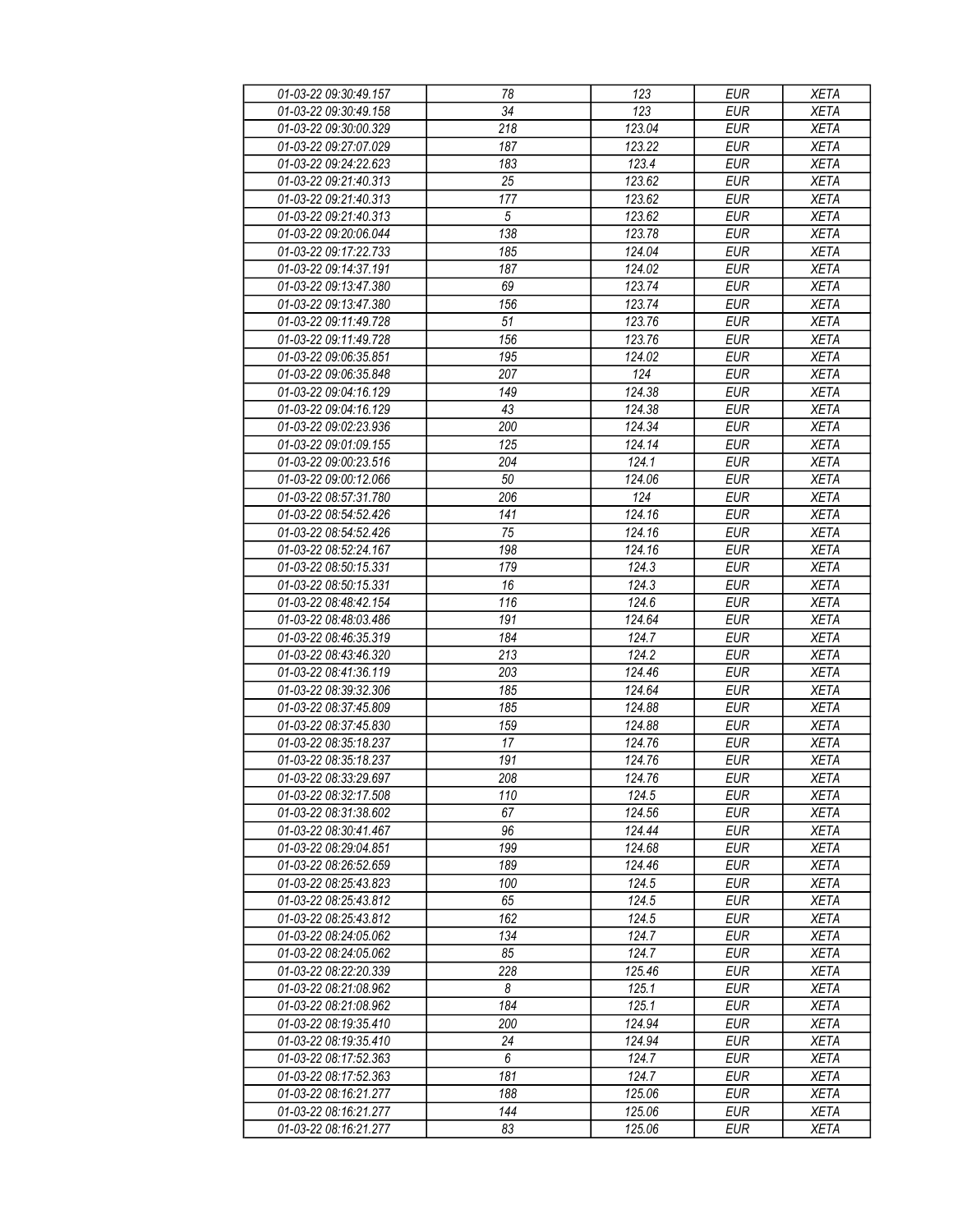| 01-03-22 09:30:49.157 | 78               | 123    | <b>EUR</b> | <b>XETA</b> |
|-----------------------|------------------|--------|------------|-------------|
| 01-03-22 09:30:49.158 | 34               | 123    | <b>EUR</b> | <b>XETA</b> |
| 01-03-22 09:30:00.329 | $\overline{218}$ | 123.04 | <b>EUR</b> | <b>XETA</b> |
| 01-03-22 09:27:07.029 | 187              | 123.22 | <b>EUR</b> | <b>XETA</b> |
| 01-03-22 09:24:22.623 | 183              | 123.4  | <b>EUR</b> | <b>XETA</b> |
| 01-03-22 09:21:40.313 | 25               | 123.62 | <b>EUR</b> | <b>XETA</b> |
| 01-03-22 09:21:40.313 |                  |        | <b>EUR</b> | <b>XETA</b> |
|                       | 177              | 123.62 |            |             |
| 01-03-22 09:21:40.313 | 5                | 123.62 | <b>EUR</b> | <b>XETA</b> |
| 01-03-22 09:20:06.044 | 138              | 123.78 | <b>EUR</b> | <b>XETA</b> |
| 01-03-22 09:17:22.733 | 185              | 124.04 | <b>EUR</b> | <b>XETA</b> |
| 01-03-22 09:14:37.191 | 187              | 124.02 | <b>EUR</b> | <b>XETA</b> |
| 01-03-22 09:13:47.380 | 69               | 123.74 | <b>EUR</b> | <b>XETA</b> |
| 01-03-22 09:13:47.380 | 156              | 123.74 | <b>EUR</b> | <b>XETA</b> |
| 01-03-22 09:11:49.728 | 51               | 123.76 | <b>EUR</b> | <b>XETA</b> |
| 01-03-22 09:11:49.728 | 156              | 123.76 | <b>EUR</b> | <b>XETA</b> |
| 01-03-22 09:06:35.851 | 195              | 124.02 | <b>EUR</b> | <b>XETA</b> |
| 01-03-22 09:06:35.848 | 207              | 124    | <b>EUR</b> | <b>XETA</b> |
| 01-03-22 09:04:16.129 | 149              | 124.38 | <b>EUR</b> | <b>XETA</b> |
| 01-03-22 09:04:16.129 | 43               | 124.38 | <b>EUR</b> | <b>XETA</b> |
| 01-03-22 09:02:23.936 | 200              | 124.34 | <b>EUR</b> | <b>XETA</b> |
| 01-03-22 09:01:09.155 | 125              | 124.14 | <b>EUR</b> | <b>XETA</b> |
| 01-03-22 09:00:23.516 | 204              | 124.1  | <b>EUR</b> | <b>XETA</b> |
|                       |                  |        |            |             |
| 01-03-22 09:00:12.066 | 50               | 124.06 | <b>EUR</b> | <b>XETA</b> |
| 01-03-22 08:57:31.780 | 206              | 124    | <b>EUR</b> | <b>XETA</b> |
| 01-03-22 08:54:52.426 | 141              | 124.16 | <b>EUR</b> | <b>XETA</b> |
| 01-03-22 08:54:52.426 | 75               | 124.16 | <b>EUR</b> | <b>XETA</b> |
| 01-03-22 08:52:24.167 | 198              | 124.16 | <b>EUR</b> | <b>XETA</b> |
| 01-03-22 08:50:15.331 | 179              | 124.3  | <b>EUR</b> | <b>XETA</b> |
| 01-03-22 08:50:15.331 | 16               | 124.3  | <b>EUR</b> | <b>XETA</b> |
| 01-03-22 08:48:42.154 | 116              | 124.6  | <b>EUR</b> | <b>XETA</b> |
| 01-03-22 08:48:03.486 | 191              | 124.64 | <b>EUR</b> | <b>XETA</b> |
| 01-03-22 08:46:35.319 | 184              | 124.7  | <b>EUR</b> | <b>XETA</b> |
| 01-03-22 08:43:46.320 | 213              | 124.2  | <b>EUR</b> | <b>XETA</b> |
| 01-03-22 08:41:36.119 | 203              | 124.46 | <b>EUR</b> | <b>XETA</b> |
| 01-03-22 08:39:32.306 | 185              | 124.64 | <b>EUR</b> | <b>XETA</b> |
| 01-03-22 08:37:45.809 | 185              | 124.88 | <b>EUR</b> | <b>XETA</b> |
| 01-03-22 08:37:45.830 | 159              | 124.88 | <b>EUR</b> | <b>XETA</b> |
| 01-03-22 08:35:18.237 | 17               | 124.76 | <b>EUR</b> | <b>XETA</b> |
| 01-03-22 08:35:18.237 | 191              | 124.76 | <b>EUR</b> | <b>XETA</b> |
| 01-03-22 08:33:29.697 | 208              | 124.76 | <b>EUR</b> | <b>XETA</b> |
| 01-03-22 08:32:17.508 | 110              | 124.5  | EUR        | XETA        |
| 01-03-22 08:31:38.602 | 67               | 124.56 | <b>EUR</b> |             |
|                       |                  |        |            | <b>XETA</b> |
| 01-03-22 08:30:41.467 | 96               | 124.44 | <b>EUR</b> | <b>XETA</b> |
| 01-03-22 08:29:04.851 | 199              | 124.68 | <b>EUR</b> | <b>XETA</b> |
| 01-03-22 08:26:52.659 | 189              | 124.46 | <b>EUR</b> | <b>XETA</b> |
| 01-03-22 08:25:43.823 | 100              | 124.5  | <b>EUR</b> | <b>XETA</b> |
| 01-03-22 08:25:43.812 | 65               | 124.5  | <b>EUR</b> | <b>XETA</b> |
| 01-03-22 08:25:43.812 | 162              | 124.5  | <b>EUR</b> | <b>XETA</b> |
| 01-03-22 08:24:05.062 | 134              | 124.7  | <b>EUR</b> | <b>XETA</b> |
| 01-03-22 08:24:05.062 | 85               | 124.7  | EUR        | <b>XETA</b> |
| 01-03-22 08:22:20.339 | 228              | 125.46 | <b>EUR</b> | <b>XETA</b> |
| 01-03-22 08:21:08.962 | 8                | 125.1  | <b>EUR</b> | <b>XETA</b> |
| 01-03-22 08:21:08.962 | 184              | 125.1  | <b>EUR</b> | <b>XETA</b> |
| 01-03-22 08:19:35.410 | 200              | 124.94 | EUR        | <b>XETA</b> |
| 01-03-22 08:19:35.410 | 24               | 124.94 | <b>EUR</b> | <b>XETA</b> |
| 01-03-22 08:17:52.363 | 6                | 124.7  | <b>EUR</b> | <b>XETA</b> |
| 01-03-22 08:17:52.363 | 181              | 124.7  | <b>EUR</b> | <b>XETA</b> |
| 01-03-22 08:16:21.277 | 188              | 125.06 | EUR        | XETA        |
|                       | 144              |        |            |             |
| 01-03-22 08:16:21.277 |                  | 125.06 | EUR        | <b>XETA</b> |
| 01-03-22 08:16:21.277 | 83               | 125.06 | EUR        | <b>XETA</b> |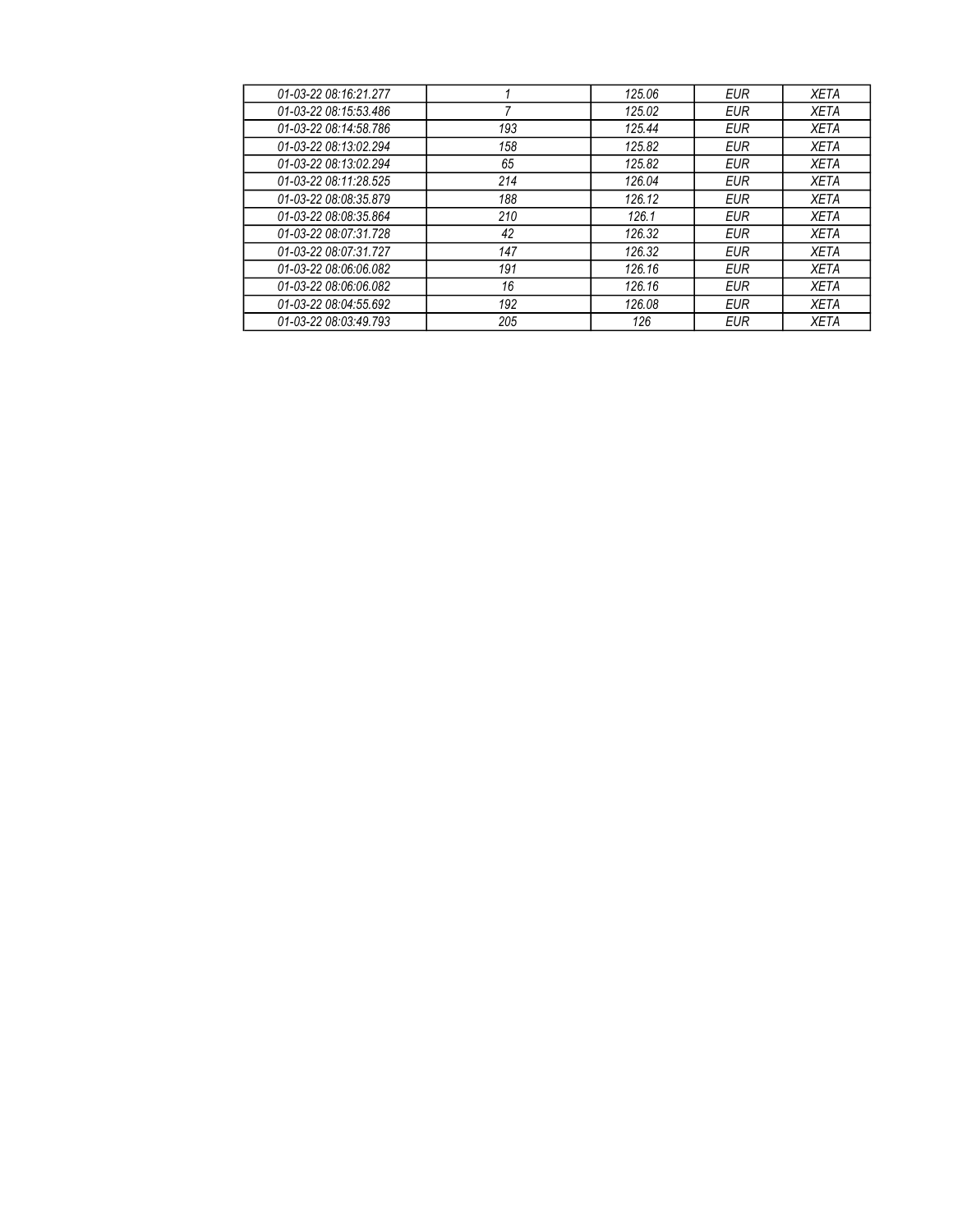| 01-03-22 08:16:21.277 |     | 125.06 | EUR        | XETA        |
|-----------------------|-----|--------|------------|-------------|
| 01-03-22 08:15:53.486 |     | 125.02 | EUR        | <b>XETA</b> |
| 01-03-22 08:14:58.786 | 193 | 125.44 | EUR        | XETA        |
| 01-03-22 08:13:02.294 | 158 | 125.82 | EUR        | XETA        |
| 01-03-22 08:13:02.294 | 65  | 125.82 | EUR        | XETA        |
| 01-03-22 08:11:28.525 | 214 | 126.04 | EUR        | XETA        |
| 01-03-22 08:08:35.879 | 188 | 126.12 | <b>EUR</b> | <b>XETA</b> |
| 01-03-22 08:08:35.864 | 210 | 126.1  | <b>EUR</b> | <b>XETA</b> |
| 01-03-22 08:07:31.728 | 42  | 126.32 | EUR        | XETA        |
| 01-03-22 08:07:31.727 | 147 | 126.32 | EUR        | <b>XETA</b> |
| 01-03-22 08:06:06.082 | 191 | 126.16 | <b>EUR</b> | XETA        |
| 01-03-22 08:06:06.082 | 16  | 126.16 | EUR        | XETA        |
| 01-03-22 08:04:55.692 | 192 | 126.08 | EUR        | <b>XETA</b> |
| 01-03-22 08:03:49.793 | 205 | 126    | EUR        | <b>XETA</b> |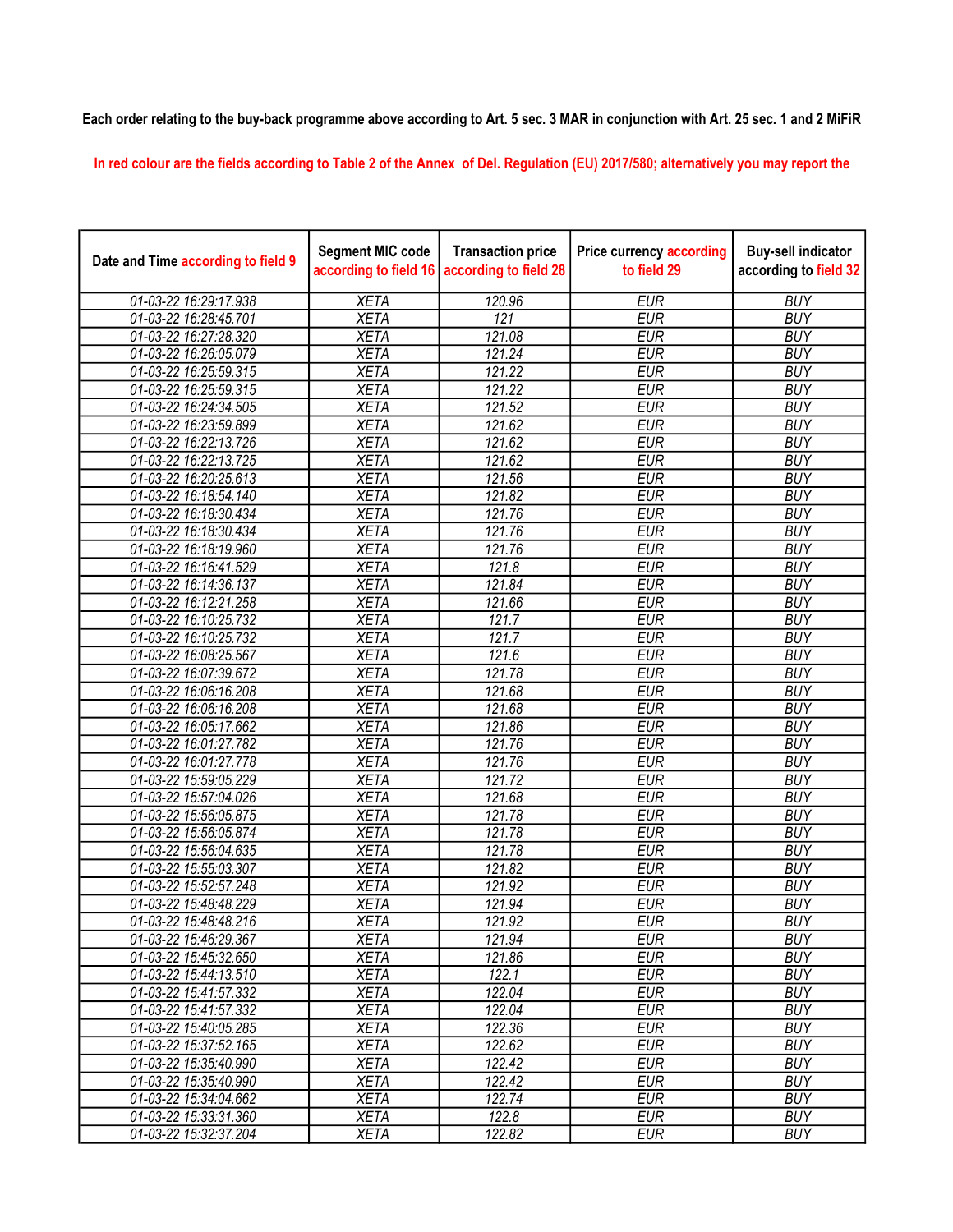## Each order relating to the buy-back programme above according to Art. 5 sec. 3 MAR in conjunction with Art. 25 sec. 1 and 2 MiFiR

In red colour are the fields according to Table 2 of the Annex of Del. Regulation (EU) 2017/580; alternatively you may report the

| Date and Time according to field 9 | <b>Segment MIC code</b><br>according to field 16 | <b>Transaction price</b><br>according to field 28 | <b>Price currency according</b><br>to field 29 | <b>Buy-sell indicator</b><br>according to field 32 |
|------------------------------------|--------------------------------------------------|---------------------------------------------------|------------------------------------------------|----------------------------------------------------|
| 01-03-22 16:29:17.938              | <b>XETA</b>                                      | 120.96                                            | <b>EUR</b>                                     | <b>BUY</b>                                         |
| 01-03-22 16:28:45.701              | <b>XETA</b>                                      | 121                                               | <b>EUR</b>                                     | <b>BUY</b>                                         |
| 01-03-22 16:27:28.320              | <b>XETA</b>                                      | 121.08                                            | <b>EUR</b>                                     | <b>BUY</b>                                         |
| 01-03-22 16:26:05.079              | <b>XETA</b>                                      | 121.24                                            | <b>EUR</b>                                     | <b>BUY</b>                                         |
| 01-03-22 16:25:59.315              | <b>XETA</b>                                      | 121.22                                            | <b>EUR</b>                                     | <b>BUY</b>                                         |
| 01-03-22 16:25:59.315              | <b>XETA</b>                                      | 121.22                                            | <b>EUR</b>                                     | <b>BUY</b>                                         |
| 01-03-22 16:24:34.505              | <b>XETA</b>                                      | 121.52                                            | <b>EUR</b>                                     | <b>BUY</b>                                         |
| 01-03-22 16:23:59.899              | <b>XETA</b>                                      | 121.62                                            | <b>EUR</b>                                     | <b>BUY</b>                                         |
| 01-03-22 16:22:13.726              | <b>XETA</b>                                      | 121.62                                            | <b>EUR</b>                                     | <b>BUY</b>                                         |
| 01-03-22 16:22:13.725              | <b>XETA</b>                                      | 121.62                                            | <b>EUR</b>                                     | <b>BUY</b>                                         |
| 01-03-22 16:20:25.613              | <b>XETA</b>                                      | 121.56                                            | <b>EUR</b>                                     | <b>BUY</b>                                         |
| 01-03-22 16:18:54.140              | <b>XETA</b>                                      | 121.82                                            | <b>EUR</b>                                     | <b>BUY</b>                                         |
| 01-03-22 16:18:30.434              | <b>XETA</b>                                      | 121.76                                            | <b>EUR</b>                                     | <b>BUY</b>                                         |
| 01-03-22 16:18:30.434              | <b>XETA</b>                                      | 121.76                                            | <b>EUR</b>                                     | <b>BUY</b>                                         |
| 01-03-22 16:18:19.960              | <b>XETA</b>                                      | 121.76                                            | <b>EUR</b>                                     | <b>BUY</b>                                         |
| 01-03-22 16:16:41.529              | <b>XETA</b>                                      | 121.8                                             | <b>EUR</b>                                     | <b>BUY</b>                                         |
| 01-03-22 16:14:36.137              | <b>XETA</b>                                      | 121.84                                            | <b>EUR</b>                                     | <b>BUY</b>                                         |
| 01-03-22 16:12:21.258              | <b>XETA</b>                                      | 121.66                                            | <b>EUR</b>                                     | <b>BUY</b>                                         |
| 01-03-22 16:10:25.732              | <b>XETA</b>                                      | 121.7                                             | <b>EUR</b>                                     | <b>BUY</b>                                         |
| 01-03-22 16:10:25.732              | <b>XETA</b>                                      | 121.7                                             | <b>EUR</b>                                     | <b>BUY</b>                                         |
| 01-03-22 16:08:25.567              | <b>XETA</b>                                      | 121.6                                             | <b>EUR</b>                                     | <b>BUY</b>                                         |
| 01-03-22 16:07:39.672              | <b>XETA</b>                                      | 121.78                                            | <b>EUR</b>                                     | <b>BUY</b>                                         |
| 01-03-22 16:06:16.208              | <b>XETA</b>                                      | 121.68                                            | <b>EUR</b>                                     | <b>BUY</b>                                         |
| 01-03-22 16:06:16.208              | <b>XETA</b>                                      | 121.68                                            | <b>EUR</b>                                     | <b>BUY</b>                                         |
| 01-03-22 16:05:17.662              | <b>XETA</b>                                      | 121.86                                            | <b>EUR</b>                                     | <b>BUY</b>                                         |
| 01-03-22 16:01:27.782              | <b>XETA</b>                                      | 121.76                                            | <b>EUR</b>                                     | <b>BUY</b>                                         |
| 01-03-22 16:01:27.778              | <b>XETA</b>                                      | $\overline{121.76}$                               | <b>EUR</b>                                     | <b>BUY</b>                                         |
| 01-03-22 15:59:05.229              | <b>XETA</b>                                      | 121.72                                            | <b>EUR</b>                                     | <b>BUY</b>                                         |
| 01-03-22 15:57:04.026              | <b>XETA</b>                                      | 121.68                                            | <b>EUR</b>                                     | <b>BUY</b>                                         |
| 01-03-22 15:56:05.875              | <b>XETA</b>                                      | 121.78                                            | <b>EUR</b>                                     | <b>BUY</b>                                         |
| 01-03-22 15:56:05.874              | <b>XETA</b>                                      | 121.78                                            | <b>EUR</b>                                     | <b>BUY</b>                                         |
| 01-03-22 15:56:04.635              | <b>XETA</b>                                      | $\overline{121.78}$                               | <b>EUR</b>                                     | <b>BUY</b>                                         |
| 01-03-22 15:55:03.307              | <b>XETA</b>                                      | 121.82                                            | <b>EUR</b>                                     | <b>BUY</b>                                         |
| 01-03-22 15:52:57.248              | <b>XETA</b>                                      | 121.92                                            | <b>EUR</b>                                     | <b>BUY</b>                                         |
| 01-03-22 15:48:48.229              | <b>XETA</b>                                      | 121.94                                            | <b>EUR</b>                                     | <b>BUY</b>                                         |
| 01-03-22 15:48:48.216              | <b>XETA</b>                                      | 121.92                                            | <b>EUR</b>                                     | <b>BUY</b>                                         |
| 01-03-22 15:46:29.367              | <b>XETA</b>                                      | 121.94                                            | <b>EUR</b>                                     | <b>BUY</b>                                         |
| 01-03-22 15:45:32.650              | <b>XETA</b>                                      | 121.86                                            | <b>EUR</b>                                     | <b>BUY</b>                                         |
| 01-03-22 15:44:13.510              | <b>XETA</b>                                      | 122.1                                             | <b>EUR</b>                                     | <b>BUY</b>                                         |
| 01-03-22 15:41:57.332              | <b>XETA</b>                                      | 122.04                                            | <b>EUR</b>                                     | <b>BUY</b>                                         |
| 01-03-22 15:41:57.332              | <b>XETA</b>                                      | 122.04                                            | <b>EUR</b>                                     | <b>BUY</b>                                         |
| 01-03-22 15:40:05.285              | <b>XETA</b>                                      | 122.36                                            | <b>EUR</b>                                     | <b>BUY</b>                                         |
| 01-03-22 15:37:52.165              | <b>XETA</b>                                      | 122.62                                            | <b>EUR</b>                                     | <b>BUY</b>                                         |
| 01-03-22 15:35:40.990              | <b>XETA</b>                                      | 122.42                                            | <b>EUR</b>                                     | <b>BUY</b>                                         |
| 01-03-22 15:35:40.990              | <b>XETA</b>                                      | 122.42                                            | <b>EUR</b>                                     | <b>BUY</b>                                         |
| 01-03-22 15:34:04.662              | <b>XETA</b>                                      | 122.74                                            | <b>EUR</b>                                     | <b>BUY</b>                                         |
| 01-03-22 15:33:31.360              | <b>XETA</b>                                      | 122.8                                             | <b>EUR</b>                                     | <b>BUY</b>                                         |
| 01-03-22 15:32:37.204              | <b>XETA</b>                                      | 122.82                                            | <b>EUR</b>                                     | <b>BUY</b>                                         |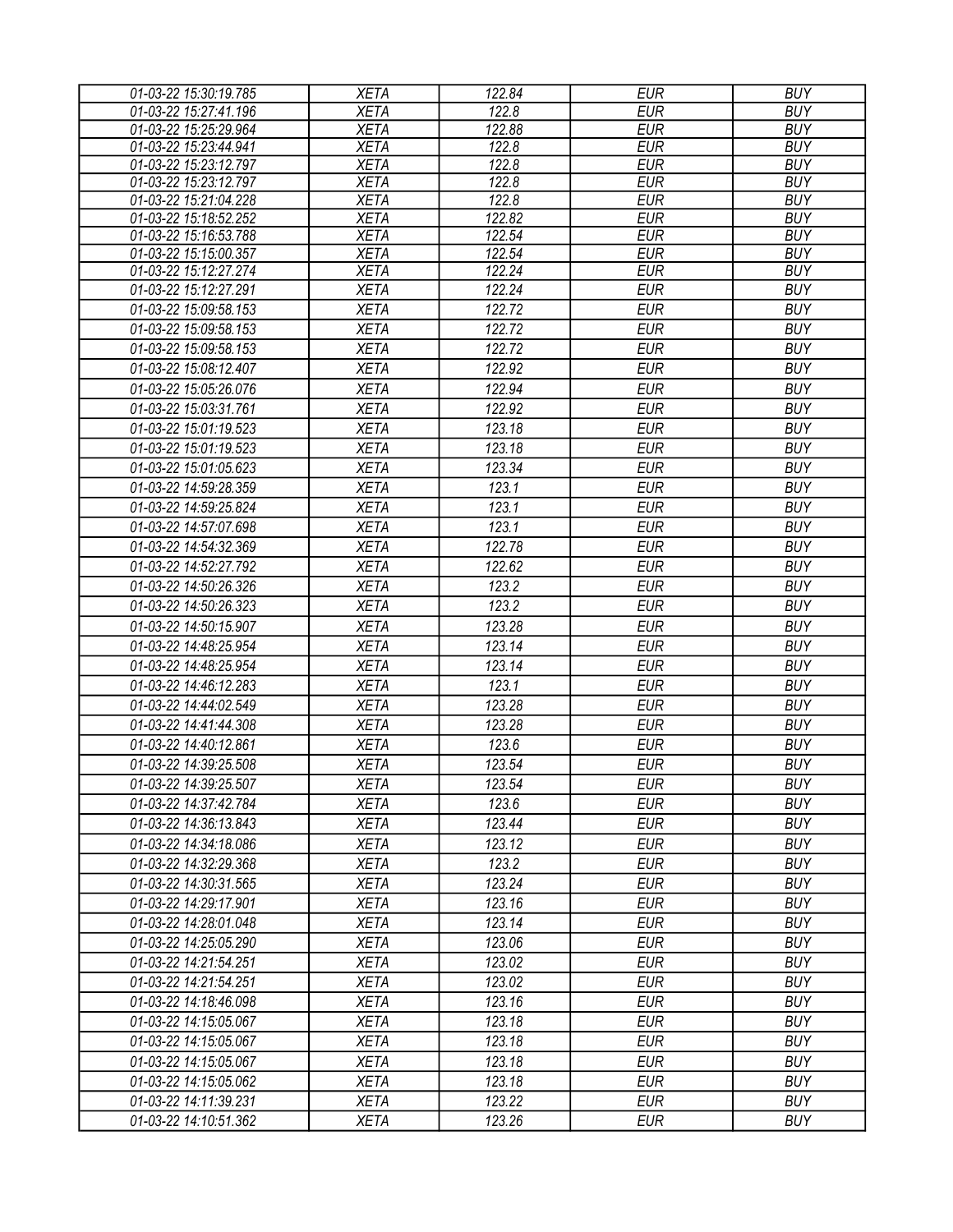| 01-03-22 15:30:19.785 | <b>XETA</b> | 122.84 | <b>EUR</b> | <b>BUY</b> |
|-----------------------|-------------|--------|------------|------------|
| 01-03-22 15:27:41.196 | <b>XETA</b> | 122.8  | <b>EUR</b> | <b>BUY</b> |
| 01-03-22 15:25:29.964 | <b>XETA</b> | 122.88 | <b>EUR</b> | <b>BUY</b> |
| 01-03-22 15:23:44.941 | <b>XETA</b> | 122.8  | <b>EUR</b> | <b>BUY</b> |
| 01-03-22 15:23:12.797 | <b>XETA</b> | 122.8  | <b>EUR</b> | <b>BUY</b> |
| 01-03-22 15:23:12.797 | <b>XETA</b> | 122.8  | <b>EUR</b> | <b>BUY</b> |
| 01-03-22 15:21:04.228 | <b>XETA</b> | 122.8  | <b>EUR</b> | <b>BUY</b> |
| 01-03-22 15:18:52.252 | <b>XETA</b> | 122.82 | <b>EUR</b> | <b>BUY</b> |
| 01-03-22 15:16:53.788 | <b>XETA</b> | 122.54 | <b>EUR</b> | <b>BUY</b> |
| 01-03-22 15:15:00.357 | <b>XETA</b> | 122.54 | <b>EUR</b> | <b>BUY</b> |
| 01-03-22 15:12:27.274 | <b>XETA</b> | 122.24 | <b>EUR</b> | <b>BUY</b> |
| 01-03-22 15:12:27.291 | <b>XETA</b> | 122.24 | <b>EUR</b> | <b>BUY</b> |
| 01-03-22 15:09:58.153 | <b>XETA</b> | 122.72 | <b>EUR</b> | <b>BUY</b> |
| 01-03-22 15:09:58.153 | <b>XETA</b> | 122.72 | <b>EUR</b> | <b>BUY</b> |
| 01-03-22 15:09:58.153 | <b>XETA</b> | 122.72 | <b>EUR</b> | <b>BUY</b> |
| 01-03-22 15:08:12.407 | <b>XETA</b> | 122.92 | <b>EUR</b> | <b>BUY</b> |
| 01-03-22 15:05:26.076 | <b>XETA</b> | 122.94 | <b>EUR</b> | <b>BUY</b> |
| 01-03-22 15:03:31.761 | <b>XETA</b> | 122.92 | <b>EUR</b> | <b>BUY</b> |
| 01-03-22 15:01:19.523 | <b>XETA</b> | 123.18 | <b>EUR</b> | <b>BUY</b> |
| 01-03-22 15:01:19.523 | <b>XETA</b> | 123.18 | <b>EUR</b> | <b>BUY</b> |
| 01-03-22 15:01:05.623 | <b>XETA</b> | 123.34 | <b>EUR</b> | <b>BUY</b> |
| 01-03-22 14:59:28.359 | <b>XETA</b> | 123.1  | <b>EUR</b> | <b>BUY</b> |
| 01-03-22 14:59:25.824 | <b>XETA</b> | 123.1  | <b>EUR</b> | <b>BUY</b> |
| 01-03-22 14:57:07.698 | <b>XETA</b> | 123.1  | <b>EUR</b> | <b>BUY</b> |
| 01-03-22 14:54:32.369 | <b>XETA</b> | 122.78 | <b>EUR</b> | <b>BUY</b> |
| 01-03-22 14:52:27.792 | <b>XETA</b> | 122.62 | <b>EUR</b> | <b>BUY</b> |
| 01-03-22 14:50:26.326 | <b>XETA</b> | 123.2  | <b>EUR</b> | <b>BUY</b> |
| 01-03-22 14:50:26.323 | <b>XETA</b> | 123.2  | <b>EUR</b> | <b>BUY</b> |
| 01-03-22 14:50:15.907 | <b>XETA</b> | 123.28 | <b>EUR</b> | <b>BUY</b> |
| 01-03-22 14:48:25.954 |             | 123.14 | <b>EUR</b> | <b>BUY</b> |
|                       | <b>XETA</b> |        |            |            |
| 01-03-22 14:48:25.954 | <b>XETA</b> | 123.14 | <b>EUR</b> | <b>BUY</b> |
| 01-03-22 14:46:12.283 | <b>XETA</b> | 123.1  | <b>EUR</b> | <b>BUY</b> |
| 01-03-22 14:44:02.549 | <b>XETA</b> | 123.28 | <b>EUR</b> | <b>BUY</b> |
| 01-03-22 14:41:44.308 | <b>XETA</b> | 123.28 | <b>EUR</b> | <b>BUY</b> |
| 01-03-22 14:40:12.861 | <b>XETA</b> | 123.6  | <b>EUR</b> | <b>BUY</b> |
| 01-03-22 14:39:25.508 | <b>XETA</b> | 123.54 | <b>EUR</b> | <b>BUY</b> |
| 01-03-22 14:39:25.507 | <b>XETA</b> | 123.54 | <b>EUR</b> | <b>BUY</b> |
| 01-03-22 14:37:42.784 | <b>XETA</b> | 123.6  | EUR        | <b>BUY</b> |
| 01-03-22 14:36:13.843 | <b>XETA</b> | 123.44 | <b>EUR</b> | <b>BUY</b> |
| 01-03-22 14:34:18.086 | <b>XETA</b> | 123.12 | <b>EUR</b> | <b>BUY</b> |
| 01-03-22 14:32:29.368 | <b>XETA</b> | 123.2  | <b>EUR</b> | <b>BUY</b> |
| 01-03-22 14:30:31.565 | <b>XETA</b> | 123.24 | <b>EUR</b> | <b>BUY</b> |
| 01-03-22 14:29:17.901 | <b>XETA</b> | 123.16 | <b>EUR</b> | <b>BUY</b> |
| 01-03-22 14:28:01.048 | <b>XETA</b> | 123.14 | <b>EUR</b> | <b>BUY</b> |
| 01-03-22 14:25:05.290 | <b>XETA</b> | 123.06 | <b>EUR</b> | <b>BUY</b> |
| 01-03-22 14:21:54.251 | <b>XETA</b> | 123.02 | <b>EUR</b> | <b>BUY</b> |
| 01-03-22 14:21:54.251 | <b>XETA</b> | 123.02 | EUR        | <b>BUY</b> |
| 01-03-22 14:18:46.098 | <b>XETA</b> | 123.16 | <b>EUR</b> | <b>BUY</b> |
| 01-03-22 14:15:05.067 | <b>XETA</b> | 123.18 | <b>EUR</b> | <b>BUY</b> |
| 01-03-22 14:15:05.067 | <b>XETA</b> | 123.18 | <b>EUR</b> | <b>BUY</b> |
| 01-03-22 14:15:05.067 | <b>XETA</b> | 123.18 | <b>EUR</b> | <b>BUY</b> |
| 01-03-22 14:15:05.062 | <b>XETA</b> | 123.18 | <b>EUR</b> | <b>BUY</b> |
| 01-03-22 14:11:39.231 | <b>XETA</b> | 123.22 | <b>EUR</b> | <b>BUY</b> |
| 01-03-22 14:10:51.362 | <b>XETA</b> | 123.26 | <b>EUR</b> | <b>BUY</b> |
|                       |             |        |            |            |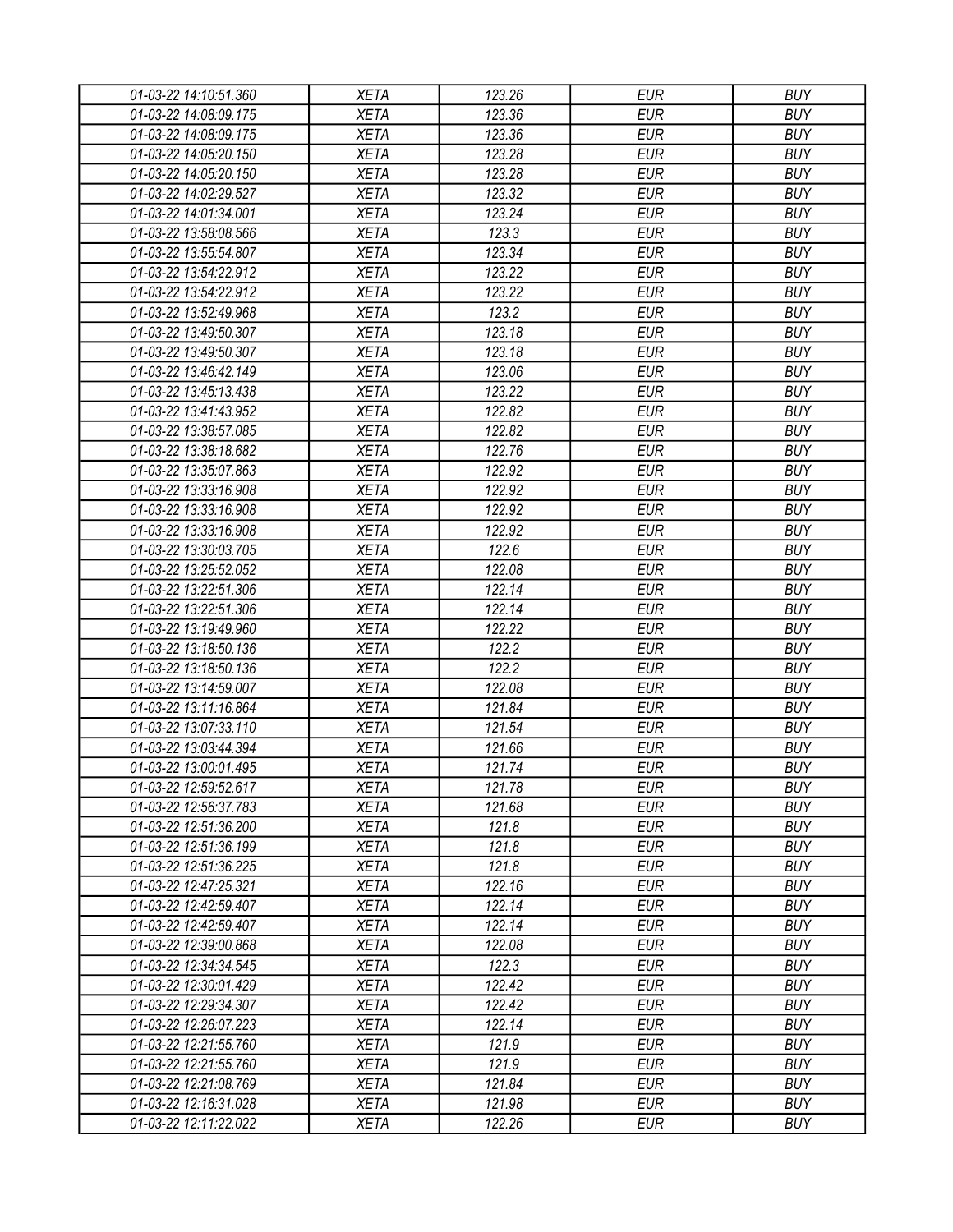| 01-03-22 14:10:51.360 | XETA        | 123.26 | EUR        | <b>BUY</b> |
|-----------------------|-------------|--------|------------|------------|
| 01-03-22 14:08:09.175 | <b>XETA</b> | 123.36 | <b>EUR</b> | <b>BUY</b> |
| 01-03-22 14:08:09.175 | <b>XETA</b> | 123.36 | <b>EUR</b> | <b>BUY</b> |
| 01-03-22 14:05:20.150 | <b>XETA</b> | 123.28 | <b>EUR</b> | <b>BUY</b> |
| 01-03-22 14:05:20.150 | <b>XETA</b> | 123.28 | <b>EUR</b> | <b>BUY</b> |
| 01-03-22 14:02:29.527 | <b>XETA</b> | 123.32 | <b>EUR</b> | <b>BUY</b> |
| 01-03-22 14:01:34.001 | <b>XETA</b> | 123.24 | <b>EUR</b> | <b>BUY</b> |
| 01-03-22 13:58:08.566 | <b>XETA</b> | 123.3  | <b>EUR</b> | <b>BUY</b> |
| 01-03-22 13:55:54.807 | <b>XETA</b> | 123.34 | <b>EUR</b> | <b>BUY</b> |
| 01-03-22 13:54:22.912 | <b>XETA</b> | 123.22 | <b>EUR</b> | <b>BUY</b> |
| 01-03-22 13:54:22.912 | <b>XETA</b> | 123.22 | <b>EUR</b> | <b>BUY</b> |
| 01-03-22 13:52:49.968 | <b>XETA</b> | 123.2  | <b>EUR</b> | <b>BUY</b> |
| 01-03-22 13:49:50.307 | <b>XETA</b> | 123.18 | <b>EUR</b> | <b>BUY</b> |
| 01-03-22 13:49:50.307 | <b>XETA</b> | 123.18 | <b>EUR</b> | <b>BUY</b> |
| 01-03-22 13:46:42.149 | <b>XETA</b> | 123.06 | <b>EUR</b> | <b>BUY</b> |
| 01-03-22 13:45:13.438 | <b>XETA</b> | 123.22 | <b>EUR</b> | <b>BUY</b> |
| 01-03-22 13:41:43.952 | <b>XETA</b> | 122.82 | <b>EUR</b> | <b>BUY</b> |
| 01-03-22 13:38:57.085 | <b>XETA</b> | 122.82 | <b>EUR</b> | <b>BUY</b> |
| 01-03-22 13:38:18.682 | <b>XETA</b> | 122.76 | <b>EUR</b> | <b>BUY</b> |
| 01-03-22 13:35:07.863 | <b>XETA</b> | 122.92 | <b>EUR</b> | <b>BUY</b> |
| 01-03-22 13:33:16.908 | <b>XETA</b> | 122.92 | <b>EUR</b> | <b>BUY</b> |
| 01-03-22 13:33:16.908 | <b>XETA</b> | 122.92 | <b>EUR</b> | <b>BUY</b> |
| 01-03-22 13:33:16.908 | <b>XETA</b> | 122.92 | <b>EUR</b> | <b>BUY</b> |
| 01-03-22 13:30:03.705 | <b>XETA</b> | 122.6  | <b>EUR</b> | <b>BUY</b> |
| 01-03-22 13:25:52.052 | <b>XETA</b> | 122.08 | <b>EUR</b> | <b>BUY</b> |
| 01-03-22 13:22:51.306 | <b>XETA</b> | 122.14 | EUR        | <b>BUY</b> |
| 01-03-22 13:22:51.306 | <b>XETA</b> | 122.14 | <b>EUR</b> | <b>BUY</b> |
| 01-03-22 13:19:49.960 | <b>XETA</b> | 122.22 | <b>EUR</b> | <b>BUY</b> |
| 01-03-22 13:18:50.136 | <b>XETA</b> | 122.2  | <b>EUR</b> | <b>BUY</b> |
| 01-03-22 13:18:50.136 | <b>XETA</b> | 122.2  | <b>EUR</b> | <b>BUY</b> |
| 01-03-22 13:14:59.007 | <b>XETA</b> | 122.08 | <b>EUR</b> | <b>BUY</b> |
| 01-03-22 13:11:16.864 | <b>XETA</b> | 121.84 | <b>EUR</b> | <b>BUY</b> |
| 01-03-22 13:07:33.110 | <b>XETA</b> | 121.54 | <b>EUR</b> | <b>BUY</b> |
| 01-03-22 13:03:44.394 | <b>XETA</b> | 121.66 | <b>EUR</b> | <b>BUY</b> |
| 01-03-22 13:00:01.495 | <b>XETA</b> | 121.74 | <b>EUR</b> | <b>BUY</b> |
| 01-03-22 12:59:52.617 | <b>XETA</b> | 121.78 | <b>EUR</b> | <b>BUY</b> |
| 01-03-22 12:56:37.783 | <b>XETA</b> | 121.68 | <b>EUR</b> | <b>BUY</b> |
| 01-03-22 12:51:36.200 | <b>XETA</b> | 121.8  | <b>EUR</b> | <b>BUY</b> |
|                       |             | 121.8  | <b>EUR</b> | <b>BUY</b> |
| 01-03-22 12:51:36.199 | <b>XETA</b> |        |            | <b>BUY</b> |
| 01-03-22 12:51:36.225 | <b>XETA</b> | 121.8  | <b>EUR</b> |            |
| 01-03-22 12:47:25.321 | <b>XETA</b> | 122.16 | <b>EUR</b> | <b>BUY</b> |
| 01-03-22 12:42:59.407 | <b>XETA</b> | 122.14 | <b>EUR</b> | <b>BUY</b> |
| 01-03-22 12:42:59.407 | <b>XETA</b> | 122.14 | <b>EUR</b> | <b>BUY</b> |
| 01-03-22 12:39:00.868 | <b>XETA</b> | 122.08 | <b>EUR</b> | <b>BUY</b> |
| 01-03-22 12:34:34.545 | <b>XETA</b> | 122.3  | <b>EUR</b> | <b>BUY</b> |
| 01-03-22 12:30:01.429 | <b>XETA</b> | 122.42 | <b>EUR</b> | <b>BUY</b> |
| 01-03-22 12:29:34.307 | <b>XETA</b> | 122.42 | <b>EUR</b> | <b>BUY</b> |
| 01-03-22 12:26:07.223 | <b>XETA</b> | 122.14 | <b>EUR</b> | <b>BUY</b> |
| 01-03-22 12:21:55.760 | <b>XETA</b> | 121.9  | <b>EUR</b> | <b>BUY</b> |
| 01-03-22 12:21:55.760 | <b>XETA</b> | 121.9  | <b>EUR</b> | <b>BUY</b> |
| 01-03-22 12:21:08.769 | <b>XETA</b> | 121.84 | EUR        | <b>BUY</b> |
| 01-03-22 12:16:31.028 | <b>XETA</b> | 121.98 | <b>EUR</b> | <b>BUY</b> |
| 01-03-22 12:11:22.022 | XETA        | 122.26 | <b>EUR</b> | <b>BUY</b> |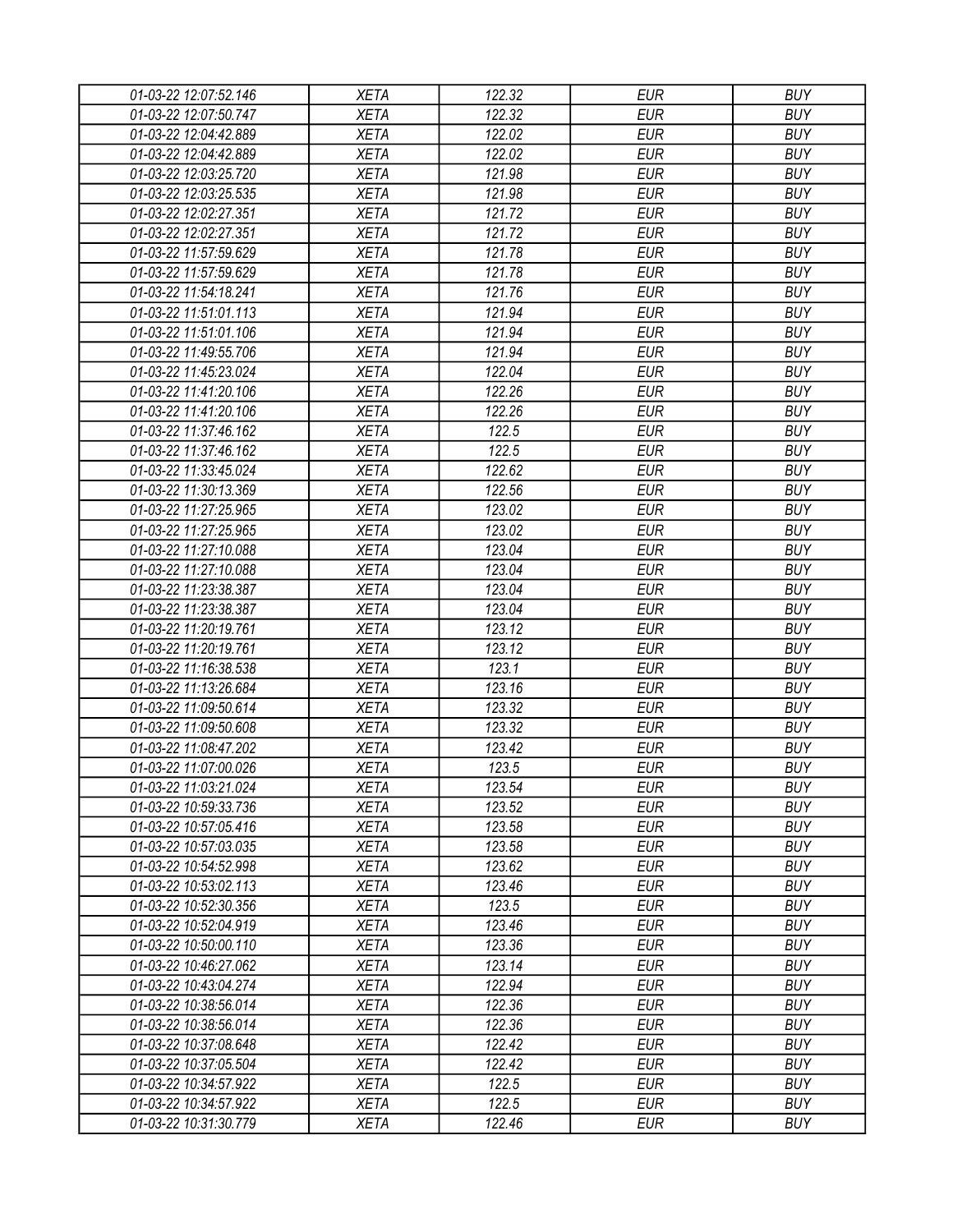| 01-03-22 12:07:52.146 | XETA                       | 122.32 | <b>EUR</b> | <b>BUY</b> |
|-----------------------|----------------------------|--------|------------|------------|
| 01-03-22 12:07:50.747 | <b>XETA</b>                | 122.32 | <b>EUR</b> | <b>BUY</b> |
| 01-03-22 12:04:42.889 | <b>XETA</b>                | 122.02 | <b>EUR</b> | <b>BUY</b> |
| 01-03-22 12:04:42.889 | <b>XETA</b>                | 122.02 | <b>EUR</b> | <b>BUY</b> |
| 01-03-22 12:03:25.720 | <b>XETA</b>                | 121.98 | <b>EUR</b> | <b>BUY</b> |
| 01-03-22 12:03:25.535 | <b>XETA</b>                | 121.98 | <b>EUR</b> | <b>BUY</b> |
| 01-03-22 12:02:27.351 | <b>XETA</b>                | 121.72 | <b>EUR</b> | <b>BUY</b> |
| 01-03-22 12:02:27.351 | <b>XETA</b>                | 121.72 | <b>EUR</b> | <b>BUY</b> |
| 01-03-22 11:57:59.629 | <b>XETA</b>                | 121.78 | <b>EUR</b> | <b>BUY</b> |
| 01-03-22 11:57:59.629 | <b>XETA</b>                | 121.78 | <b>EUR</b> | <b>BUY</b> |
| 01-03-22 11:54:18.241 | <b>XETA</b>                | 121.76 | <b>EUR</b> | <b>BUY</b> |
| 01-03-22 11:51:01.113 | <b>XETA</b>                | 121.94 | <b>EUR</b> | <b>BUY</b> |
| 01-03-22 11:51:01.106 | <b>XETA</b>                | 121.94 | <b>EUR</b> | <b>BUY</b> |
| 01-03-22 11:49:55.706 | <b>XETA</b>                | 121.94 | <b>EUR</b> | <b>BUY</b> |
| 01-03-22 11:45:23.024 | <b>XETA</b>                | 122.04 | <b>EUR</b> | <b>BUY</b> |
| 01-03-22 11:41:20.106 | <b>XETA</b>                | 122.26 | <b>EUR</b> | <b>BUY</b> |
| 01-03-22 11:41:20.106 | <b>XETA</b>                | 122.26 | <b>EUR</b> | <b>BUY</b> |
| 01-03-22 11:37:46.162 | <b>XETA</b>                | 122.5  | <b>EUR</b> | <b>BUY</b> |
| 01-03-22 11:37:46.162 | <b>XETA</b>                | 122.5  | <b>EUR</b> | <b>BUY</b> |
| 01-03-22 11:33:45.024 | <b>XETA</b>                | 122.62 | <b>EUR</b> | <b>BUY</b> |
| 01-03-22 11:30:13.369 | <b>XETA</b>                | 122.56 | <b>EUR</b> | <b>BUY</b> |
| 01-03-22 11:27:25.965 | <b>XETA</b>                | 123.02 | <b>EUR</b> | <b>BUY</b> |
| 01-03-22 11:27:25.965 | <b>XETA</b>                | 123.02 | <b>EUR</b> | <b>BUY</b> |
| 01-03-22 11:27:10.088 | <b>XETA</b>                | 123.04 | <b>EUR</b> | <b>BUY</b> |
| 01-03-22 11:27:10.088 | <b>XETA</b>                | 123.04 | <b>EUR</b> | <b>BUY</b> |
| 01-03-22 11:23:38.387 | <b>XETA</b>                | 123.04 | <b>EUR</b> | <b>BUY</b> |
| 01-03-22 11:23:38.387 | <b>XETA</b>                | 123.04 | <b>EUR</b> | <b>BUY</b> |
| 01-03-22 11:20:19.761 | <b>XETA</b>                | 123.12 | <b>EUR</b> | <b>BUY</b> |
| 01-03-22 11:20:19.761 | <b>XETA</b>                | 123.12 | <b>EUR</b> | <b>BUY</b> |
| 01-03-22 11:16:38.538 | <b>XETA</b>                | 123.1  | <b>EUR</b> | <b>BUY</b> |
| 01-03-22 11:13:26.684 | <b>XETA</b>                | 123.16 | <b>EUR</b> | <b>BUY</b> |
| 01-03-22 11:09:50.614 | <b>XETA</b>                | 123.32 | <b>EUR</b> | <b>BUY</b> |
| 01-03-22 11:09:50.608 | <b>XETA</b>                | 123.32 | <b>EUR</b> | <b>BUY</b> |
| 01-03-22 11:08:47.202 | <b>XETA</b>                | 123.42 | <b>EUR</b> | <b>BUY</b> |
| 01-03-22 11:07:00.026 | <b>XETA</b>                | 123.5  | <b>EUR</b> | <b>BUY</b> |
| 01-03-22 11:03:21.024 | <b>XETA</b>                | 123.54 | <b>EUR</b> | <b>BUY</b> |
| 01-03-22 10:59:33.736 |                            | 123.52 | <b>EUR</b> | <b>BUY</b> |
|                       | <b>XETA</b><br><b>XETA</b> | 123.58 | <b>EUR</b> | <b>BUY</b> |
| 01-03-22 10:57:05.416 | <b>XETA</b>                | 123.58 | <b>EUR</b> | <b>BUY</b> |
| 01-03-22 10:57:03.035 |                            |        | <b>EUR</b> | <b>BUY</b> |
| 01-03-22 10:54:52.998 | <b>XETA</b>                | 123.62 |            |            |
| 01-03-22 10:53:02.113 | <b>XETA</b>                | 123.46 | <b>EUR</b> | <b>BUY</b> |
| 01-03-22 10:52:30.356 | <b>XETA</b>                | 123.5  | <b>EUR</b> | <b>BUY</b> |
| 01-03-22 10:52:04.919 | <b>XETA</b>                | 123.46 | <b>EUR</b> | <b>BUY</b> |
| 01-03-22 10:50:00.110 | <b>XETA</b>                | 123.36 | <b>EUR</b> | <b>BUY</b> |
| 01-03-22 10:46:27.062 | <b>XETA</b>                | 123.14 | <b>EUR</b> | <b>BUY</b> |
| 01-03-22 10:43:04.274 | <b>XETA</b>                | 122.94 | <b>EUR</b> | <b>BUY</b> |
| 01-03-22 10:38:56.014 | <b>XETA</b>                | 122.36 | <b>EUR</b> | <b>BUY</b> |
| 01-03-22 10:38:56.014 | <b>XETA</b>                | 122.36 | <b>EUR</b> | <b>BUY</b> |
| 01-03-22 10:37:08.648 | <b>XETA</b>                | 122.42 | <b>EUR</b> | <b>BUY</b> |
| 01-03-22 10:37:05.504 | <b>XETA</b>                | 122.42 | <b>EUR</b> | <b>BUY</b> |
| 01-03-22 10:34:57.922 | <b>XETA</b>                | 122.5  | EUR        | <b>BUY</b> |
| 01-03-22 10:34:57.922 | <b>XETA</b>                | 122.5  | <b>EUR</b> | <b>BUY</b> |
| 01-03-22 10:31:30.779 | XETA                       | 122.46 | <b>EUR</b> | <b>BUY</b> |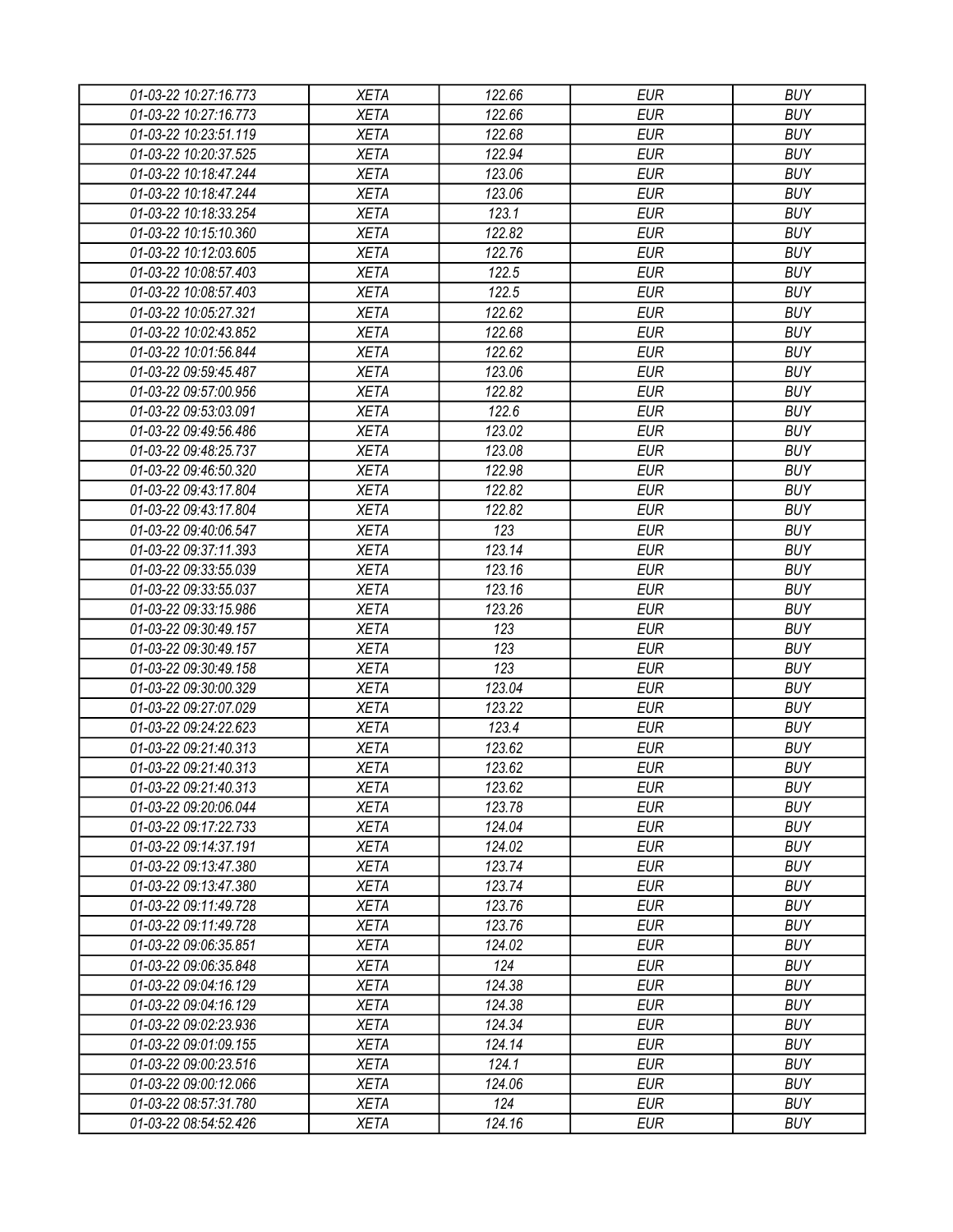| 01-03-22 10:27:16.773 | <b>XETA</b> | 122.66 | <b>EUR</b> | <b>BUY</b> |
|-----------------------|-------------|--------|------------|------------|
| 01-03-22 10:27:16.773 | <b>XETA</b> | 122.66 | <b>EUR</b> | <b>BUY</b> |
| 01-03-22 10:23:51.119 | <b>XETA</b> | 122.68 | <b>EUR</b> | <b>BUY</b> |
| 01-03-22 10:20:37.525 | <b>XETA</b> | 122.94 | <b>EUR</b> | <b>BUY</b> |
| 01-03-22 10:18:47.244 | <b>XETA</b> | 123.06 | <b>EUR</b> | <b>BUY</b> |
| 01-03-22 10:18:47.244 | <b>XETA</b> | 123.06 | <b>EUR</b> | <b>BUY</b> |
| 01-03-22 10:18:33.254 | <b>XETA</b> | 123.1  | <b>EUR</b> | <b>BUY</b> |
| 01-03-22 10:15:10.360 | <b>XETA</b> | 122.82 | <b>EUR</b> | <b>BUY</b> |
| 01-03-22 10:12:03.605 | <b>XETA</b> | 122.76 | <b>EUR</b> | <b>BUY</b> |
| 01-03-22 10:08:57.403 | <b>XETA</b> | 122.5  | <b>EUR</b> | <b>BUY</b> |
| 01-03-22 10:08:57.403 | <b>XETA</b> | 122.5  | <b>EUR</b> | <b>BUY</b> |
| 01-03-22 10:05:27.321 | <b>XETA</b> | 122.62 | <b>EUR</b> | <b>BUY</b> |
| 01-03-22 10:02:43.852 | <b>XETA</b> | 122.68 | <b>EUR</b> | <b>BUY</b> |
| 01-03-22 10:01:56.844 | <b>XETA</b> | 122.62 | <b>EUR</b> | <b>BUY</b> |
| 01-03-22 09:59:45.487 | <b>XETA</b> | 123.06 | <b>EUR</b> | <b>BUY</b> |
| 01-03-22 09:57:00.956 | <b>XETA</b> | 122.82 | <b>EUR</b> | <b>BUY</b> |
| 01-03-22 09:53:03.091 | <b>XETA</b> | 122.6  | <b>EUR</b> | <b>BUY</b> |
| 01-03-22 09:49:56.486 | <b>XETA</b> | 123.02 | <b>EUR</b> | <b>BUY</b> |
| 01-03-22 09:48:25.737 | <b>XETA</b> | 123.08 | <b>EUR</b> | <b>BUY</b> |
| 01-03-22 09:46:50.320 | <b>XETA</b> | 122.98 | <b>EUR</b> | <b>BUY</b> |
| 01-03-22 09:43:17.804 | <b>XETA</b> | 122.82 | <b>EUR</b> | <b>BUY</b> |
| 01-03-22 09:43:17.804 | <b>XETA</b> | 122.82 | <b>EUR</b> | <b>BUY</b> |
| 01-03-22 09:40:06.547 | <b>XETA</b> | 123    | <b>EUR</b> | <b>BUY</b> |
| 01-03-22 09:37:11.393 | <b>XETA</b> | 123.14 | <b>EUR</b> | <b>BUY</b> |
| 01-03-22 09:33:55.039 | <b>XETA</b> | 123.16 | <b>EUR</b> | <b>BUY</b> |
| 01-03-22 09:33:55.037 | <b>XETA</b> | 123.16 | <b>EUR</b> | <b>BUY</b> |
| 01-03-22 09:33:15.986 | <b>XETA</b> | 123.26 | <b>EUR</b> | <b>BUY</b> |
| 01-03-22 09:30:49.157 | <b>XETA</b> | 123    | <b>EUR</b> | <b>BUY</b> |
| 01-03-22 09:30:49.157 | <b>XETA</b> | 123    | <b>EUR</b> | <b>BUY</b> |
| 01-03-22 09:30:49.158 | <b>XETA</b> | 123    | <b>EUR</b> | <b>BUY</b> |
| 01-03-22 09:30:00.329 | <b>XETA</b> | 123.04 | <b>EUR</b> | <b>BUY</b> |
| 01-03-22 09:27:07.029 | <b>XETA</b> | 123.22 | <b>EUR</b> | <b>BUY</b> |
| 01-03-22 09:24:22.623 | <b>XETA</b> | 123.4  | <b>EUR</b> | <b>BUY</b> |
| 01-03-22 09:21:40.313 | <b>XETA</b> | 123.62 | <b>EUR</b> | <b>BUY</b> |
| 01-03-22 09:21:40.313 |             |        | <b>EUR</b> | <b>BUY</b> |
|                       | <b>XETA</b> | 123.62 |            |            |
| 01-03-22 09:21:40.313 | <b>XETA</b> | 123.62 | <b>EUR</b> | <b>BUY</b> |
| 01-03-22 09:20:06.044 | <b>XETA</b> | 123.78 | <b>EUR</b> | <b>BUY</b> |
| 01-03-22 09:17:22.733 | <b>XETA</b> | 124.04 | <b>EUR</b> | <b>BUY</b> |
| 01-03-22 09:14:37.191 | <b>XETA</b> | 124.02 | <b>EUR</b> | <b>BUY</b> |
| 01-03-22 09:13:47.380 | <b>XETA</b> | 123.74 | <b>EUR</b> | <b>BUY</b> |
| 01-03-22 09:13:47.380 | <b>XETA</b> | 123.74 | <b>EUR</b> | <b>BUY</b> |
| 01-03-22 09:11:49.728 | <b>XETA</b> | 123.76 | <b>EUR</b> | <b>BUY</b> |
| 01-03-22 09:11:49.728 | <b>XETA</b> | 123.76 | <b>EUR</b> | <b>BUY</b> |
| 01-03-22 09:06:35.851 | <b>XETA</b> | 124.02 | <b>EUR</b> | <b>BUY</b> |
| 01-03-22 09:06:35.848 | <b>XETA</b> | 124    | <b>EUR</b> | <b>BUY</b> |
| 01-03-22 09:04:16.129 | <b>XETA</b> | 124.38 | <b>EUR</b> | <b>BUY</b> |
| 01-03-22 09:04:16.129 | <b>XETA</b> | 124.38 | <b>EUR</b> | <b>BUY</b> |
| 01-03-22 09:02:23.936 | <b>XETA</b> | 124.34 | <b>EUR</b> | <b>BUY</b> |
| 01-03-22 09:01:09.155 | <b>XETA</b> | 124.14 | <b>EUR</b> | <b>BUY</b> |
| 01-03-22 09:00:23.516 | <b>XETA</b> | 124.1  | <b>EUR</b> | <b>BUY</b> |
| 01-03-22 09:00:12.066 | <b>XETA</b> | 124.06 | EUR        | <b>BUY</b> |
| 01-03-22 08:57:31.780 | XETA        | 124    | <b>EUR</b> | <b>BUY</b> |
| 01-03-22 08:54:52.426 | <b>XETA</b> | 124.16 | <b>EUR</b> | <b>BUY</b> |